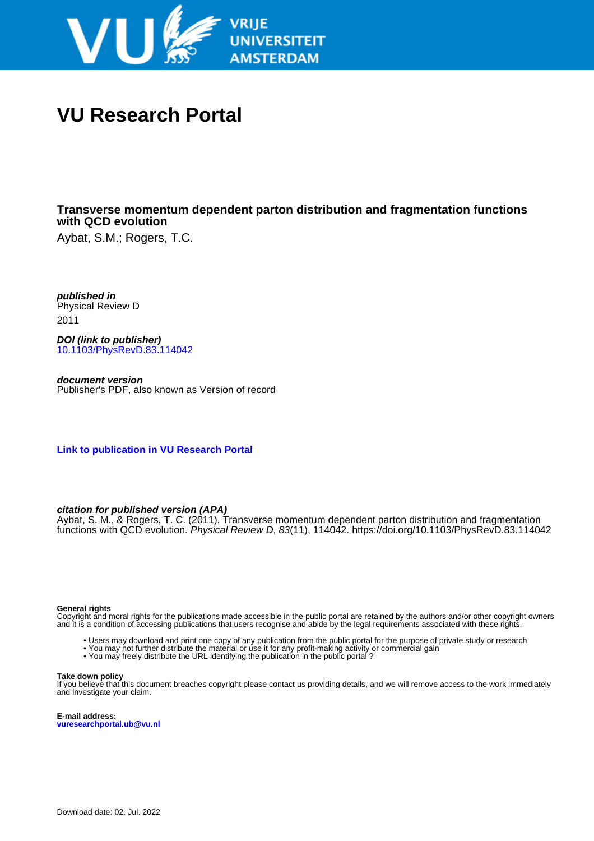

# **VU Research Portal**

## **Transverse momentum dependent parton distribution and fragmentation functions with QCD evolution**

Aybat, S.M.; Rogers, T.C.

**published in** Physical Review D 2011

**DOI (link to publisher)** [10.1103/PhysRevD.83.114042](https://doi.org/10.1103/PhysRevD.83.114042)

**document version** Publisher's PDF, also known as Version of record

**[Link to publication in VU Research Portal](https://research.vu.nl/en/publications/87a97f0d-1b0a-4085-bd5c-2d6ae5bbf630)**

### **citation for published version (APA)**

Aybat, S. M., & Rogers, T. C. (2011). Transverse momentum dependent parton distribution and fragmentation functions with QCD evolution. Physical Review D, 83(11), 114042. <https://doi.org/10.1103/PhysRevD.83.114042>

#### **General rights**

Copyright and moral rights for the publications made accessible in the public portal are retained by the authors and/or other copyright owners and it is a condition of accessing publications that users recognise and abide by the legal requirements associated with these rights.

- Users may download and print one copy of any publication from the public portal for the purpose of private study or research.
- You may not further distribute the material or use it for any profit-making activity or commercial gain
- You may freely distribute the URL identifying the publication in the public portal ?

#### **Take down policy**

If you believe that this document breaches copyright please contact us providing details, and we will remove access to the work immediately and investigate your claim.

**E-mail address: vuresearchportal.ub@vu.nl**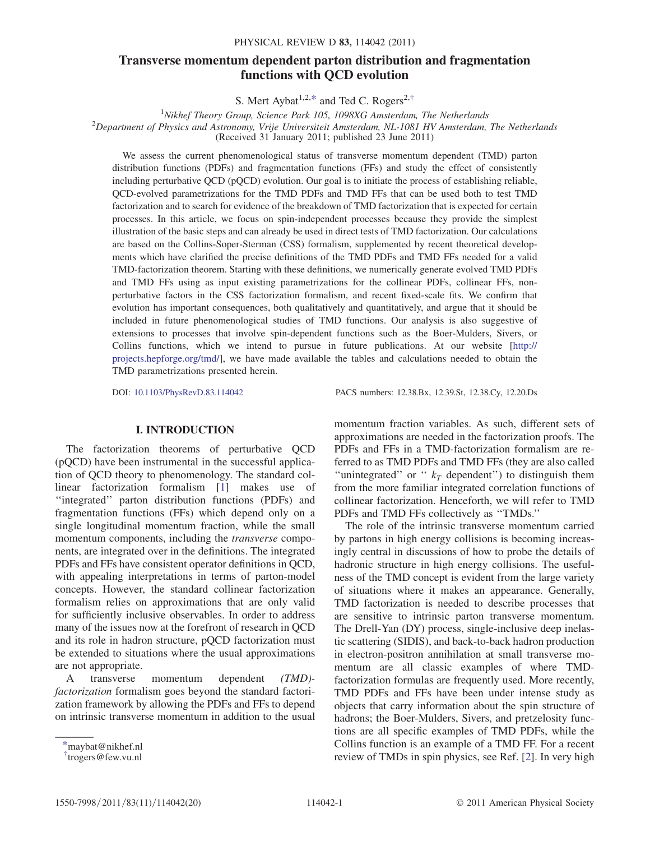### Transverse momentum dependent parton distribution and fragmentation functions with QCD evolution

S. Mert Aybat<sup>1,2[,\\*](#page-1-0)</sup> and Ted C. Rogers<sup>2[,†](#page-1-1)</sup>

<span id="page-1-2"></span><sup>1</sup>Nikhef Theory Group, Science Park 105, 1098XG Amsterdam, The Netherlands<sup>2</sup> Department of Physics and Astronomy Vrije Universiteit Amsterdam, NL 1081 HV Amsterdam  $^{2}$ Department of Physics and Astronomy, Vrije Universiteit Amsterdam, NL-1081 HV Amsterdam, The Netherlands (Received 31 January 2011; published 23 June 2011)

We assess the current phenomenological status of transverse momentum dependent (TMD) parton distribution functions (PDFs) and fragmentation functions (FFs) and study the effect of consistently including perturbative QCD (pQCD) evolution. Our goal is to initiate the process of establishing reliable, QCD-evolved parametrizations for the TMD PDFs and TMD FFs that can be used both to test TMD factorization and to search for evidence of the breakdown of TMD factorization that is expected for certain processes. In this article, we focus on spin-independent processes because they provide the simplest illustration of the basic steps and can already be used in direct tests of TMD factorization. Our calculations are based on the Collins-Soper-Sterman (CSS) formalism, supplemented by recent theoretical developments which have clarified the precise definitions of the TMD PDFs and TMD FFs needed for a valid TMD-factorization theorem. Starting with these definitions, we numerically generate evolved TMD PDFs and TMD FFs using as input existing parametrizations for the collinear PDFs, collinear FFs, nonperturbative factors in the CSS factorization formalism, and recent fixed-scale fits. We confirm that evolution has important consequences, both qualitatively and quantitatively, and argue that it should be included in future phenomenological studies of TMD functions. Our analysis is also suggestive of extensions to processes that involve spin-dependent functions such as the Boer-Mulders, Sivers, or Collins functions, which we intend to pursue in future publications. At our website [\[http://](http://projects.hepforge.org/tmd/) [projects.hepforge.org/tmd/\]](http://projects.hepforge.org/tmd/), we have made available the tables and calculations needed to obtain the TMD parametrizations presented herein.

DOI: [10.1103/PhysRevD.83.114042](http://dx.doi.org/10.1103/PhysRevD.83.114042) PACS numbers: 12.38.Bx, 12.39.St, 12.38.Cy, 12.20.Ds

#### I. INTRODUCTION

The factorization theorems of perturbative QCD (pQCD) have been instrumental in the successful application of QCD theory to phenomenology. The standard collinear factorization formalism [\[1](#page-18-0)] makes use of ''integrated'' parton distribution functions (PDFs) and fragmentation functions (FFs) which depend only on a single longitudinal momentum fraction, while the small momentum components, including the *transverse* components, are integrated over in the definitions. The integrated PDFs and FFs have consistent operator definitions in QCD, with appealing interpretations in terms of parton-model concepts. However, the standard collinear factorization formalism relies on approximations that are only valid for sufficiently inclusive observables. In order to address many of the issues now at the forefront of research in QCD and its role in hadron structure, pQCD factorization must be extended to situations where the usual approximations are not appropriate.

A transverse momentum dependent (TMD) factorization formalism goes beyond the standard factorization framework by allowing the PDFs and FFs to depend on intrinsic transverse momentum in addition to the usual momentum fraction variables. As such, different sets of approximations are needed in the factorization proofs. The PDFs and FFs in a TMD-factorization formalism are referred to as TMD PDFs and TMD FFs (they are also called "unintegrated" or "  $k_T$  dependent") to distinguish them from the more familiar integrated correlation functions of collinear factorization. Henceforth, we will refer to TMD PDFs and TMD FFs collectively as ''TMDs.''

The role of the intrinsic transverse momentum carried by partons in high energy collisions is becoming increasingly central in discussions of how to probe the details of hadronic structure in high energy collisions. The usefulness of the TMD concept is evident from the large variety of situations where it makes an appearance. Generally, TMD factorization is needed to describe processes that are sensitive to intrinsic parton transverse momentum. The Drell-Yan (DY) process, single-inclusive deep inelastic scattering (SIDIS), and back-to-back hadron production in electron-positron annihilation at small transverse momentum are all classic examples of where TMDfactorization formulas are frequently used. More recently, TMD PDFs and FFs have been under intense study as objects that carry information about the spin structure of hadrons; the Boer-Mulders, Sivers, and pretzelosity functions are all specific examples of TMD PDFs, while the Collins function is an example of a TMD FF. For a recent review of TMDs in spin physics, see Ref. [\[2](#page-18-1)]. In very high

<span id="page-1-0"></span>[<sup>\\*</sup>m](#page-1-2)aybat@nikhef.nl

<span id="page-1-1"></span>[<sup>†</sup>](#page-1-2) trogers@few.vu.nl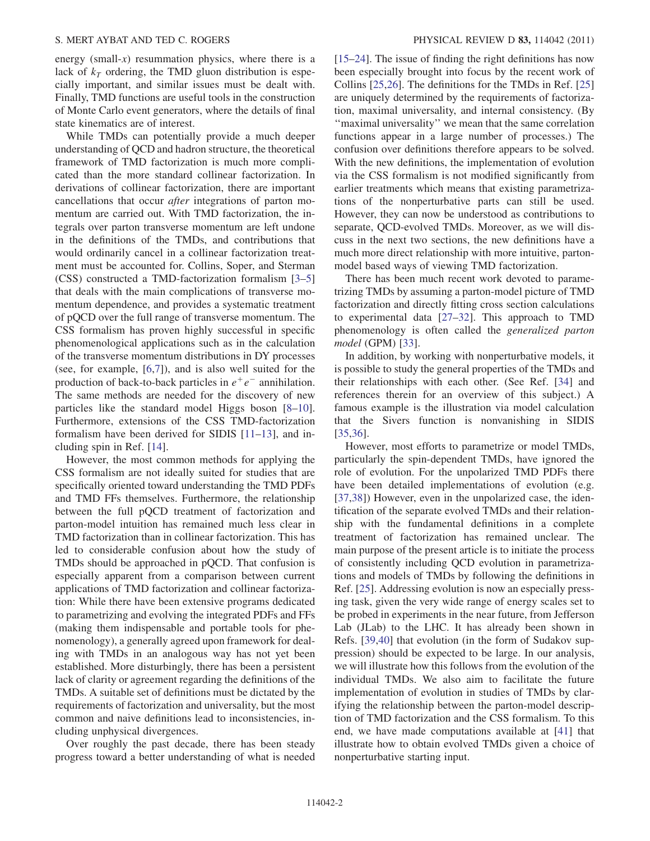energy (small- $x$ ) resummation physics, where there is a lack of  $k<sub>T</sub>$  ordering, the TMD gluon distribution is especially important, and similar issues must be dealt with. Finally, TMD functions are useful tools in the construction of Monte Carlo event generators, where the details of final state kinematics are of interest.

While TMDs can potentially provide a much deeper understanding of QCD and hadron structure, the theoretical framework of TMD factorization is much more complicated than the more standard collinear factorization. In derivations of collinear factorization, there are important cancellations that occur after integrations of parton momentum are carried out. With TMD factorization, the integrals over parton transverse momentum are left undone in the definitions of the TMDs, and contributions that would ordinarily cancel in a collinear factorization treatment must be accounted for. Collins, Soper, and Sterman (CSS) constructed a TMD-factorization formalism [[3](#page-18-2)[–5\]](#page-19-0) that deals with the main complications of transverse momentum dependence, and provides a systematic treatment of pQCD over the full range of transverse momentum. The CSS formalism has proven highly successful in specific phenomenological applications such as in the calculation of the transverse momentum distributions in DY processes (see, for example, [[6](#page-19-1),[7\]](#page-19-2)), and is also well suited for the production of back-to-back particles in  $e^+e^-$  annihilation. The same methods are needed for the discovery of new particles like the standard model Higgs boson [\[8](#page-19-3)[–10\]](#page-19-4). Furthermore, extensions of the CSS TMD-factorization formalism have been derived for SIDIS [\[11–](#page-19-5)[13](#page-19-6)], and including spin in Ref. [\[14\]](#page-19-7).

However, the most common methods for applying the CSS formalism are not ideally suited for studies that are specifically oriented toward understanding the TMD PDFs and TMD FFs themselves. Furthermore, the relationship between the full pQCD treatment of factorization and parton-model intuition has remained much less clear in TMD factorization than in collinear factorization. This has led to considerable confusion about how the study of TMDs should be approached in pQCD. That confusion is especially apparent from a comparison between current applications of TMD factorization and collinear factorization: While there have been extensive programs dedicated to parametrizing and evolving the integrated PDFs and FFs (making them indispensable and portable tools for phenomenology), a generally agreed upon framework for dealing with TMDs in an analogous way has not yet been established. More disturbingly, there has been a persistent lack of clarity or agreement regarding the definitions of the TMDs. A suitable set of definitions must be dictated by the requirements of factorization and universality, but the most common and naive definitions lead to inconsistencies, including unphysical divergences.

Over roughly the past decade, there has been steady progress toward a better understanding of what is needed [\[15–](#page-19-8)[24\]](#page-19-9). The issue of finding the right definitions has now been especially brought into focus by the recent work of Collins [[25,](#page-19-10)[26](#page-19-11)]. The definitions for the TMDs in Ref. [\[25\]](#page-19-10) are uniquely determined by the requirements of factorization, maximal universality, and internal consistency. (By ''maximal universality'' we mean that the same correlation functions appear in a large number of processes.) The confusion over definitions therefore appears to be solved. With the new definitions, the implementation of evolution via the CSS formalism is not modified significantly from earlier treatments which means that existing parametrizations of the nonperturbative parts can still be used. However, they can now be understood as contributions to separate, QCD-evolved TMDs. Moreover, as we will discuss in the next two sections, the new definitions have a much more direct relationship with more intuitive, partonmodel based ways of viewing TMD factorization.

There has been much recent work devoted to parametrizing TMDs by assuming a parton-model picture of TMD factorization and directly fitting cross section calculations to experimental data [\[27–](#page-19-12)[32](#page-19-13)]. This approach to TMD phenomenology is often called the generalized parton model (GPM) [[33](#page-19-14)].

In addition, by working with nonperturbative models, it is possible to study the general properties of the TMDs and their relationships with each other. (See Ref. [[34](#page-19-15)] and references therein for an overview of this subject.) A famous example is the illustration via model calculation that the Sivers function is nonvanishing in SIDIS [\[35](#page-19-16)[,36\]](#page-19-17).

However, most efforts to parametrize or model TMDs, particularly the spin-dependent TMDs, have ignored the role of evolution. For the unpolarized TMD PDFs there have been detailed implementations of evolution (e.g. [\[37](#page-19-18)[,38\]](#page-19-19)) However, even in the unpolarized case, the identification of the separate evolved TMDs and their relationship with the fundamental definitions in a complete treatment of factorization has remained unclear. The main purpose of the present article is to initiate the process of consistently including QCD evolution in parametrizations and models of TMDs by following the definitions in Ref. [[25](#page-19-10)]. Addressing evolution is now an especially pressing task, given the very wide range of energy scales set to be probed in experiments in the near future, from Jefferson Lab (JLab) to the LHC. It has already been shown in Refs. [[39,](#page-19-20)[40](#page-19-21)] that evolution (in the form of Sudakov suppression) should be expected to be large. In our analysis, we will illustrate how this follows from the evolution of the individual TMDs. We also aim to facilitate the future implementation of evolution in studies of TMDs by clarifying the relationship between the parton-model description of TMD factorization and the CSS formalism. To this end, we have made computations available at [[41](#page-19-22)] that illustrate how to obtain evolved TMDs given a choice of nonperturbative starting input.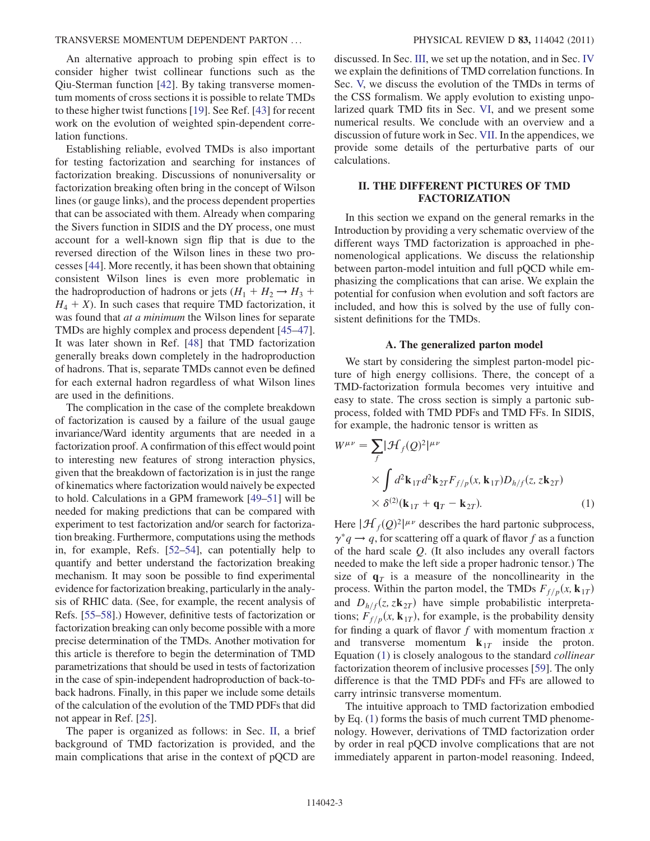An alternative approach to probing spin effect is to consider higher twist collinear functions such as the Qiu-Sterman function [\[42\]](#page-19-23). By taking transverse momentum moments of cross sections it is possible to relate TMDs to these higher twist functions [[19](#page-19-24)]. See Ref. [\[43](#page-19-25)] for recent work on the evolution of weighted spin-dependent correlation functions.

Establishing reliable, evolved TMDs is also important for testing factorization and searching for instances of factorization breaking. Discussions of nonuniversality or factorization breaking often bring in the concept of Wilson lines (or gauge links), and the process dependent properties that can be associated with them. Already when comparing the Sivers function in SIDIS and the DY process, one must account for a well-known sign flip that is due to the reversed direction of the Wilson lines in these two processes [[44](#page-19-26)]. More recently, it has been shown that obtaining consistent Wilson lines is even more problematic in the hadroproduction of hadrons or jets  $(H_1 + H_2 \rightarrow H_3 +$  $H_4 + X$ ). In such cases that require TMD factorization, it was found that *at a minimum* the Wilson lines for separate TMDs are highly complex and process dependent [[45](#page-19-27)–[47\]](#page-19-28). It was later shown in Ref. [\[48\]](#page-19-29) that TMD factorization generally breaks down completely in the hadroproduction of hadrons. That is, separate TMDs cannot even be defined for each external hadron regardless of what Wilson lines are used in the definitions.

The complication in the case of the complete breakdown of factorization is caused by a failure of the usual gauge invariance/Ward identity arguments that are needed in a factorization proof. A confirmation of this effect would point to interesting new features of strong interaction physics, given that the breakdown of factorization is in just the range of kinematics where factorization would naively be expected to hold. Calculations in a GPM framework [\[49](#page-19-30)–[51\]](#page-19-31) will be needed for making predictions that can be compared with experiment to test factorization and/or search for factorization breaking. Furthermore, computations using the methods in, for example, Refs. [\[52](#page-19-32)[–54\]](#page-19-33), can potentially help to quantify and better understand the factorization breaking mechanism. It may soon be possible to find experimental evidence for factorization breaking, particularly in the analysis of RHIC data. (See, for example, the recent analysis of Refs. [[55–](#page-19-34)[58](#page-19-35)].) However, definitive tests of factorization or factorization breaking can only become possible with a more precise determination of the TMDs. Another motivation for this article is therefore to begin the determination of TMD parametrizations that should be used in tests of factorization in the case of spin-independent hadroproduction of back-toback hadrons. Finally, in this paper we include some details of the calculation of the evolution of the TMD PDFs that did not appear in Ref. [\[25\]](#page-19-10).

The paper is organized as follows: in Sec. [II](#page-3-0), a brief background of TMD factorization is provided, and the main complications that arise in the context of pQCD are discussed. In Sec. [III](#page-5-0), we set up the notation, and in Sec. [IV](#page-6-0) we explain the definitions of TMD correlation functions. In Sec. [V,](#page-8-0) we discuss the evolution of the TMDs in terms of the CSS formalism. We apply evolution to existing unpolarized quark TMD fits in Sec. [VI,](#page-10-0) and we present some numerical results. We conclude with an overview and a discussion of future work in Sec. [VII](#page-14-0). In the appendices, we provide some details of the perturbative parts of our calculations.

### II. THE DIFFERENT PICTURES OF TMD FACTORIZATION

<span id="page-3-0"></span>In this section we expand on the general remarks in the Introduction by providing a very schematic overview of the different ways TMD factorization is approached in phenomenological applications. We discuss the relationship between parton-model intuition and full pQCD while emphasizing the complications that can arise. We explain the potential for confusion when evolution and soft factors are included, and how this is solved by the use of fully consistent definitions for the TMDs.

#### A. The generalized parton model

We start by considering the simplest parton-model picture of high energy collisions. There, the concept of a TMD-factorization formula becomes very intuitive and easy to state. The cross section is simply a partonic subprocess, folded with TMD PDFs and TMD FFs. In SIDIS, for example, the hadronic tensor is written as

<span id="page-3-1"></span>
$$
W^{\mu\nu} = \sum_{f} |\mathcal{H}_f(Q)^2|^{\mu\nu}
$$
  
 
$$
\times \int d^2 \mathbf{k}_{1T} d^2 \mathbf{k}_{2T} F_{f/p}(x, \mathbf{k}_{1T}) D_{h/f}(z, z \mathbf{k}_{2T})
$$
  
 
$$
\times \delta^{(2)}(\mathbf{k}_{1T} + \mathbf{q}_T - \mathbf{k}_{2T}).
$$
 (1)

Here  $|\mathcal{H}_f(Q)^2|^{\mu\nu}$  describes the hard partonic subprocess,  $\gamma^* q \rightarrow q$ , for scattering off a quark of flavor f as a function of the hard scale Q. (It also includes any overall factors needed to make the left side a proper hadronic tensor.) The size of  $q<sub>T</sub>$  is a measure of the noncollinearity in the process. Within the parton model, the TMDs  $F_{f/p}(x, \mathbf{k}_{1T})$ and  $D_{h/f}(z, z\mathbf{k}_{2T})$  have simple probabilistic interpretations;  $F_{f/p}(x, \mathbf{k}_{1T})$ , for example, is the probability density for finding a quark of flavor  $f$  with momentum fraction  $x$ and transverse momentum  $k_{1T}$  inside the proton. Equation [\(1](#page-3-1)) is closely analogous to the standard collinear factorization theorem of inclusive processes [[59](#page-19-36)]. The only difference is that the TMD PDFs and FFs are allowed to carry intrinsic transverse momentum.

The intuitive approach to TMD factorization embodied by Eq. ([1](#page-3-1)) forms the basis of much current TMD phenomenology. However, derivations of TMD factorization order by order in real pQCD involve complications that are not immediately apparent in parton-model reasoning. Indeed,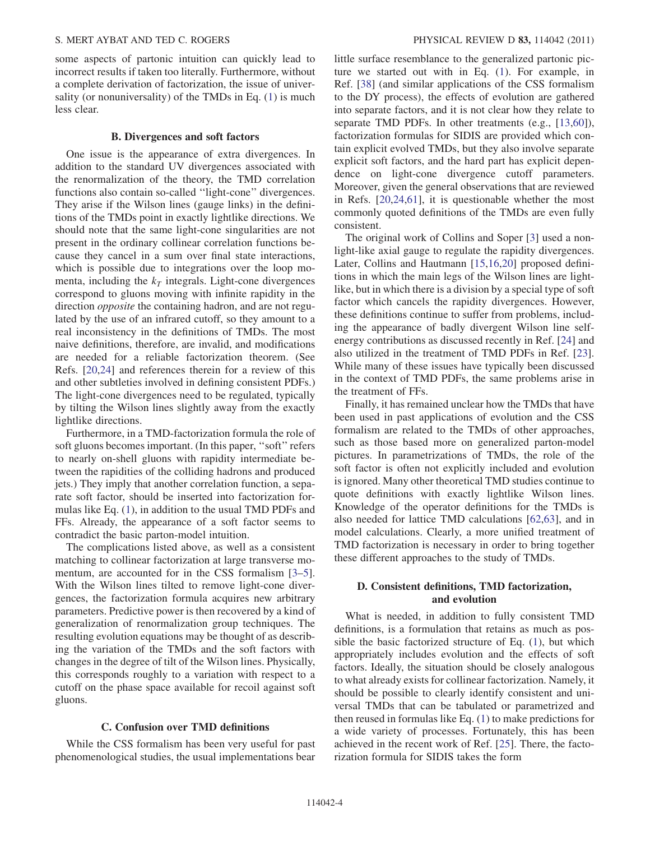some aspects of partonic intuition can quickly lead to incorrect results if taken too literally. Furthermore, without a complete derivation of factorization, the issue of univer-sality (or nonuniversality) of the TMDs in Eq. [\(1\)](#page-3-1) is much less clear.

#### B. Divergences and soft factors

One issue is the appearance of extra divergences. In addition to the standard UV divergences associated with the renormalization of the theory, the TMD correlation functions also contain so-called ''light-cone'' divergences. They arise if the Wilson lines (gauge links) in the definitions of the TMDs point in exactly lightlike directions. We should note that the same light-cone singularities are not present in the ordinary collinear correlation functions because they cancel in a sum over final state interactions, which is possible due to integrations over the loop momenta, including the  $k<sub>T</sub>$  integrals. Light-cone divergences correspond to gluons moving with infinite rapidity in the direction *opposite* the containing hadron, and are not regulated by the use of an infrared cutoff, so they amount to a real inconsistency in the definitions of TMDs. The most naive definitions, therefore, are invalid, and modifications are needed for a reliable factorization theorem. (See Refs. [\[20](#page-19-37)[,24\]](#page-19-9) and references therein for a review of this and other subtleties involved in defining consistent PDFs.) The light-cone divergences need to be regulated, typically by tilting the Wilson lines slightly away from the exactly lightlike directions.

Furthermore, in a TMD-factorization formula the role of soft gluons becomes important. (In this paper, ''soft'' refers to nearly on-shell gluons with rapidity intermediate between the rapidities of the colliding hadrons and produced jets.) They imply that another correlation function, a separate soft factor, should be inserted into factorization formulas like Eq. [\(1](#page-3-1)), in addition to the usual TMD PDFs and FFs. Already, the appearance of a soft factor seems to contradict the basic parton-model intuition.

The complications listed above, as well as a consistent matching to collinear factorization at large transverse momentum, are accounted for in the CSS formalism [\[3](#page-18-2)–[5\]](#page-19-0). With the Wilson lines tilted to remove light-cone divergences, the factorization formula acquires new arbitrary parameters. Predictive power is then recovered by a kind of generalization of renormalization group techniques. The resulting evolution equations may be thought of as describing the variation of the TMDs and the soft factors with changes in the degree of tilt of the Wilson lines. Physically, this corresponds roughly to a variation with respect to a cutoff on the phase space available for recoil against soft gluons.

#### C. Confusion over TMD definitions

<span id="page-4-0"></span>While the CSS formalism has been very useful for past phenomenological studies, the usual implementations bear little surface resemblance to the generalized partonic picture we started out with in Eq. [\(1\)](#page-3-1). For example, in Ref. [[38](#page-19-19)] (and similar applications of the CSS formalism to the DY process), the effects of evolution are gathered into separate factors, and it is not clear how they relate to separate TMD PDFs. In other treatments (e.g., [[13](#page-19-6)[,60](#page-19-38)]), factorization formulas for SIDIS are provided which contain explicit evolved TMDs, but they also involve separate explicit soft factors, and the hard part has explicit dependence on light-cone divergence cutoff parameters. Moreover, given the general observations that are reviewed in Refs. [[20,](#page-19-37)[24,](#page-19-9)[61](#page-19-39)], it is questionable whether the most commonly quoted definitions of the TMDs are even fully consistent.

The original work of Collins and Soper [\[3](#page-18-2)] used a nonlight-like axial gauge to regulate the rapidity divergences. Later, Collins and Hautmann [[15](#page-19-8),[16](#page-19-40),[20](#page-19-37)] proposed definitions in which the main legs of the Wilson lines are lightlike, but in which there is a division by a special type of soft factor which cancels the rapidity divergences. However, these definitions continue to suffer from problems, including the appearance of badly divergent Wilson line selfenergy contributions as discussed recently in Ref. [\[24\]](#page-19-9) and also utilized in the treatment of TMD PDFs in Ref. [[23\]](#page-19-41). While many of these issues have typically been discussed in the context of TMD PDFs, the same problems arise in the treatment of FFs.

Finally, it has remained unclear how the TMDs that have been used in past applications of evolution and the CSS formalism are related to the TMDs of other approaches, such as those based more on generalized parton-model pictures. In parametrizations of TMDs, the role of the soft factor is often not explicitly included and evolution is ignored. Many other theoretical TMD studies continue to quote definitions with exactly lightlike Wilson lines. Knowledge of the operator definitions for the TMDs is also needed for lattice TMD calculations [\[62,](#page-19-42)[63\]](#page-19-43), and in model calculations. Clearly, a more unified treatment of TMD factorization is necessary in order to bring together these different approaches to the study of TMDs.

#### D. Consistent definitions, TMD factorization, and evolution

What is needed, in addition to fully consistent TMD definitions, is a formulation that retains as much as possible the basic factorized structure of Eq. ([1](#page-3-1)), but which appropriately includes evolution and the effects of soft factors. Ideally, the situation should be closely analogous to what already exists for collinear factorization. Namely, it should be possible to clearly identify consistent and universal TMDs that can be tabulated or parametrized and then reused in formulas like Eq. ([1\)](#page-3-1) to make predictions for a wide variety of processes. Fortunately, this has been achieved in the recent work of Ref. [\[25\]](#page-19-10). There, the factorization formula for SIDIS takes the form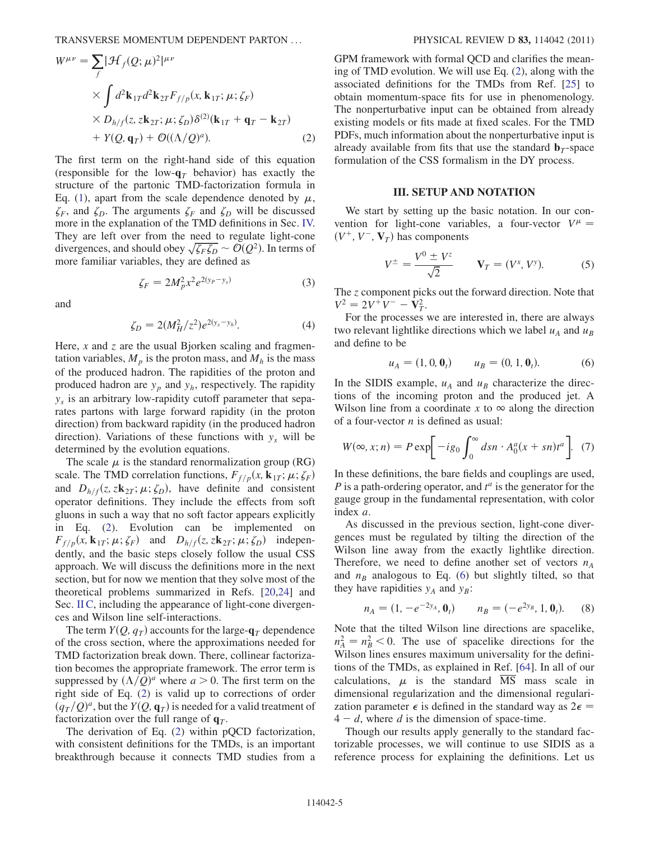<span id="page-5-1"></span>
$$
W^{\mu\nu} = \sum_{f} |\mathcal{H}_{f}(Q; \mu)^{2}|^{\mu\nu}
$$
  
 
$$
\times \int d^{2} \mathbf{k}_{1T} d^{2} \mathbf{k}_{2T} F_{f/p}(x, \mathbf{k}_{1T}; \mu; \zeta_{F})
$$
  
 
$$
\times D_{h/f}(z, z\mathbf{k}_{2T}; \mu; \zeta_{D}) \delta^{(2)}(\mathbf{k}_{1T} + \mathbf{q}_{T} - \mathbf{k}_{2T})
$$
  
+ 
$$
Y(Q, \mathbf{q}_{T}) + \mathcal{O}((\Lambda/Q)^{a}).
$$
 (2)

The first term on the right-hand side of this equation (responsible for the low- $q_T$  behavior) has exactly the structure of the partonic TMD-factorization formula in Eq. ([1](#page-3-1)), apart from the scale dependence denoted by  $\mu$ ,  $\zeta_F$ , and  $\zeta_D$ . The arguments  $\zeta_F$  and  $\zeta_D$  will be discussed more in the explanation of the TMD definitions in Sec. [IV.](#page-6-0) They are left over from the need to regulate light-cone divergences, and should obey  $\sqrt{\zeta_F \zeta_D} \sim \mathcal{O}(Q^2)$ . In terms of more familiar variables, they are defined as

$$
\zeta_F = 2M_p^2 x^2 e^{2(y_P - y_s)}\tag{3}
$$

<span id="page-5-5"></span><span id="page-5-4"></span>and

$$
\zeta_D = 2(M_H^2/z^2)e^{2(y_s - y_h)}.
$$
\n(4)

Here, x and z are the usual Bjorken scaling and fragmentation variables,  $M_p$  is the proton mass, and  $M_h$  is the mass of the produced hadron. The rapidities of the proton and produced hadron are  $y_p$  and  $y_h$ , respectively. The rapidity  $y<sub>s</sub>$  is an arbitrary low-rapidity cutoff parameter that separates partons with large forward rapidity (in the proton direction) from backward rapidity (in the produced hadron direction). Variations of these functions with  $y_s$  will be determined by the evolution equations.

The scale  $\mu$  is the standard renormalization group (RG) scale. The TMD correlation functions,  $F_{f/p}(x, \mathbf{k}_{1T}; \mu; \zeta_F)$ and  $D_{h/f}(z, z\mathbf{k}_{2T}; \mu; \zeta_D)$ , have definite and consistent operator definitions. They include the effects from soft gluons in such a way that no soft factor appears explicitly in Eq. ([2](#page-5-1)). Evolution can be implemented on  $F_{f/p}(x, \mathbf{k}_{1T}; \mu; \zeta_F)$  and  $D_{h/f}(z, z\mathbf{k}_{2T}; \mu; \zeta_D)$  independently, and the basic steps closely follow the usual CSS approach. We will discuss the definitions more in the next section, but for now we mention that they solve most of the theoretical problems summarized in Refs. [\[20,](#page-19-37)[24\]](#page-19-9) and Sec. [II C,](#page-4-0) including the appearance of light-cone divergences and Wilson line self-interactions.

The term  $Y(Q, q_T)$  accounts for the large- $q_T$  dependence of the cross section, where the approximations needed for TMD factorization break down. There, collinear factorization becomes the appropriate framework. The error term is suppressed by  $(\Lambda/Q)^a$  where  $a > 0$ . The first term on the right side of Eq. [\(2](#page-5-1)) is valid up to corrections of order  $(q_T/Q)^a$ , but the  $Y(Q, \mathbf{q}_T)$  is needed for a valid treatment of factorization over the full range of  $q_T$ .

The derivation of Eq. [\(2](#page-5-1)) within pQCD factorization, with consistent definitions for the TMDs, is an important breakthrough because it connects TMD studies from a GPM framework with formal QCD and clarifies the meaning of TMD evolution. We will use Eq. ([2\)](#page-5-1), along with the associated definitions for the TMDs from Ref. [[25](#page-19-10)] to obtain momentum-space fits for use in phenomenology. The nonperturbative input can be obtained from already existing models or fits made at fixed scales. For the TMD PDFs, much information about the nonperturbative input is already available from fits that use the standard  $\mathbf{b}_T$ -space formulation of the CSS formalism in the DY process.

#### III. SETUP AND NOTATION

<span id="page-5-0"></span>We start by setting up the basic notation. In our convention for light-cone variables, a four-vector  $V^{\mu}$  =  $(V^+, V^-, \mathbf{V}_T)$  has components

$$
V^{\pm} = \frac{V^0 \pm V^z}{\sqrt{2}} \qquad \mathbf{V}_T = (V^x, V^y). \tag{5}
$$

The z component picks out the forward direction. Note that  $V^2 = 2V^+V^- - V_T^2$ .

<span id="page-5-2"></span>For the processes we are interested in, there are always two relevant lightlike directions which we label  $u_A$  and  $u_B$ and define to be

$$
u_A = (1, 0, 0_t) \qquad u_B = (0, 1, 0_t). \tag{6}
$$

In the SIDIS example,  $u_A$  and  $u_B$  characterize the directions of the incoming proton and the produced jet. A Wilson line from a coordinate x to  $\infty$  along the direction of a four-vector  $n$  is defined as usual:

$$
W(\infty, x; n) = P \exp \left[ -ig_0 \int_0^\infty ds n \cdot A_0^a(x + sn) t^a \right]. \tag{7}
$$

In these definitions, the bare fields and couplings are used,  $P$  is a path-ordering operator, and  $t^a$  is the generator for the gauge group in the fundamental representation, with color index a.

As discussed in the previous section, light-cone divergences must be regulated by tilting the direction of the Wilson line away from the exactly lightlike direction. Therefore, we need to define another set of vectors  $n_A$ and  $n_B$  analogous to Eq. [\(6\)](#page-5-2) but slightly tilted, so that they have rapidities  $y_A$  and  $y_B$ :

<span id="page-5-3"></span>
$$
n_A = (1, -e^{-2y_A}, \mathbf{0}_t) \qquad n_B = (-e^{2y_B}, 1, \mathbf{0}_t). \tag{8}
$$

Note that the tilted Wilson line directions are spacelike,  $n_A^2 = n_B^2 < 0$ . The use of spacelike directions for the Wilson lines ensures maximum universality for the definitions of the TMDs, as explained in Ref. [[64](#page-19-44)]. In all of our calculations,  $\mu$  is the standard  $\overline{MS}$  mass scale in dimensional regularization and the dimensional regularization parameter  $\epsilon$  is defined in the standard way as  $2\epsilon$  =  $4 - d$ , where d is the dimension of space-time.

Though our results apply generally to the standard factorizable processes, we will continue to use SIDIS as a reference process for explaining the definitions. Let us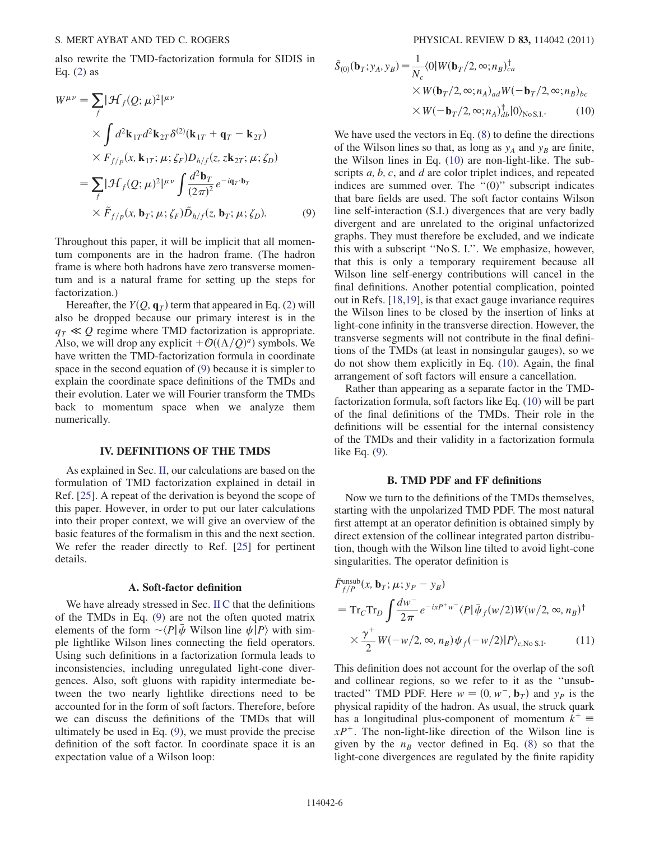<span id="page-6-1"></span>also rewrite the TMD-factorization formula for SIDIS in Eq.  $(2)$  $(2)$  as

$$
W^{\mu\nu} = \sum_{f} |\mathcal{H}_{f}(Q; \mu)^{2}|^{\mu\nu}
$$
  
 
$$
\times \int d^{2} \mathbf{k}_{1T} d^{2} \mathbf{k}_{2T} \delta^{(2)}(\mathbf{k}_{1T} + \mathbf{q}_{T} - \mathbf{k}_{2T})
$$
  
 
$$
\times F_{f/p}(x, \mathbf{k}_{1T}; \mu; \zeta_{F}) D_{h/f}(z, z\mathbf{k}_{2T}; \mu; \zeta_{D})
$$
  

$$
= \sum_{f} |\mathcal{H}_{f}(Q; \mu)^{2}|^{\mu\nu} \int \frac{d^{2} \mathbf{b}_{T}}{(2\pi)^{2}} e^{-i\mathbf{q}_{T} \cdot \mathbf{b}_{T}}
$$
  

$$
\times \tilde{F}_{f/p}(x, \mathbf{b}_{T}; \mu; \zeta_{F}) \tilde{D}_{h/f}(z, \mathbf{b}_{T}; \mu; \zeta_{D}). \tag{9}
$$

Throughout this paper, it will be implicit that all momentum components are in the hadron frame. (The hadron frame is where both hadrons have zero transverse momentum and is a natural frame for setting up the steps for factorization.)

Hereafter, the  $Y(Q, \mathbf{q}_T)$  term that appeared in Eq. ([2](#page-5-1)) will also be dropped because our primary interest is in the  $q_T \ll Q$  regime where TMD factorization is appropriate. Also, we will drop any explicit  $+O((\Lambda/Q)^a)$  symbols. We have written the TMD-factorization formula in coordinate space in the second equation of [\(9\)](#page-6-1) because it is simpler to explain the coordinate space definitions of the TMDs and their evolution. Later we will Fourier transform the TMDs back to momentum space when we analyze them numerically.

#### IV. DEFINITIONS OF THE TMDS

<span id="page-6-0"></span>As explained in Sec. [II,](#page-3-0) our calculations are based on the formulation of TMD factorization explained in detail in Ref. [[25](#page-19-10)]. A repeat of the derivation is beyond the scope of this paper. However, in order to put our later calculations into their proper context, we will give an overview of the basic features of the formalism in this and the next section. We refer the reader directly to Ref. [\[25](#page-19-10)] for pertinent details.

#### A. Soft-factor definition

We have already stressed in Sec. [II C](#page-4-0) that the definitions of the TMDs in Eq. [\(9](#page-6-1)) are not the often quoted matrix elements of the form  $\sim \langle P | \bar{\psi}$  Wilson line  $\psi | P \rangle$  with simple lightlike Wilson lines connecting the field operators. Using such definitions in a factorization formula leads to inconsistencies, including unregulated light-cone divergences. Also, soft gluons with rapidity intermediate between the two nearly lightlike directions need to be accounted for in the form of soft factors. Therefore, before we can discuss the definitions of the TMDs that will ultimately be used in Eq. [\(9](#page-6-1)), we must provide the precise definition of the soft factor. In coordinate space it is an expectation value of a Wilson loop:

<span id="page-6-2"></span>
$$
\tilde{S}_{(0)}(\mathbf{b}_T; y_A, y_B) = \frac{1}{N_c} \langle 0|W(\mathbf{b}_T/2, \infty; n_B)_{ca}^{\dagger} \times W(\mathbf{b}_T/2, \infty; n_A)_{ad} W(-\mathbf{b}_T/2, \infty; n_B)_{bc} \times W(-\mathbf{b}_T/2, \infty; n_A)_{db}^{\dagger} |0\rangle_{\text{No S.I.}}.
$$
 (10)

We have used the vectors in Eq. [\(8\)](#page-5-3) to define the directions of the Wilson lines so that, as long as  $y_A$  and  $y_B$  are finite, the Wilson lines in Eq. [\(10](#page-6-2)) are non-light-like. The subscripts a, b, c, and d are color triplet indices, and repeated indices are summed over. The  $"(0)"$  subscript indicates that bare fields are used. The soft factor contains Wilson line self-interaction (S.I.) divergences that are very badly divergent and are unrelated to the original unfactorized graphs. They must therefore be excluded, and we indicate this with a subscript ''No S. I.''. We emphasize, however, that this is only a temporary requirement because all Wilson line self-energy contributions will cancel in the final definitions. Another potential complication, pointed out in Refs. [\[18,](#page-19-45)[19\]](#page-19-24), is that exact gauge invariance requires the Wilson lines to be closed by the insertion of links at light-cone infinity in the transverse direction. However, the transverse segments will not contribute in the final definitions of the TMDs (at least in nonsingular gauges), so we do not show them explicitly in Eq. ([10](#page-6-2)). Again, the final arrangement of soft factors will ensure a cancellation.

Rather than appearing as a separate factor in the TMDfactorization formula, soft factors like Eq. [\(10\)](#page-6-2) will be part of the final definitions of the TMDs. Their role in the definitions will be essential for the internal consistency of the TMDs and their validity in a factorization formula like Eq. ([9\)](#page-6-1).

#### B. TMD PDF and FF definitions

Now we turn to the definitions of the TMDs themselves, starting with the unpolarized TMD PDF. The most natural first attempt at an operator definition is obtained simply by direct extension of the collinear integrated parton distribution, though with the Wilson line tilted to avoid light-cone singularities. The operator definition is

<span id="page-6-3"></span>
$$
\tilde{F}_{f/P}^{\text{unsub}}(x, \mathbf{b}_T; \mu; y_P - y_B)
$$
\n
$$
= \operatorname{Tr}_C \operatorname{Tr}_D \int \frac{dw^-}{2\pi} e^{-ixP^+w^-} \langle P|\bar{\psi}_f(w/2)W(w/2, \infty, n_B)^\dagger
$$
\n
$$
\times \frac{\gamma^+}{2} W(-w/2, \infty, n_B) \psi_f(-w/2)|P\rangle_{c, \text{No S.I}}.
$$
\n(11)

This definition does not account for the overlap of the soft and collinear regions, so we refer to it as the ''unsubtracted'' TMD PDF. Here  $w = (0, w^-, \mathbf{b}_T)$  and  $y_P$  is the physical rapidity of the hadron. As usual, the struck quark has a longitudinal plus-component of momentum  $k^+$  =  $xP^+$ . The non-light-like direction of the Wilson line is given by the  $n_B$  vector defined in Eq. [\(8\)](#page-5-3) so that the light-cone divergences are regulated by the finite rapidity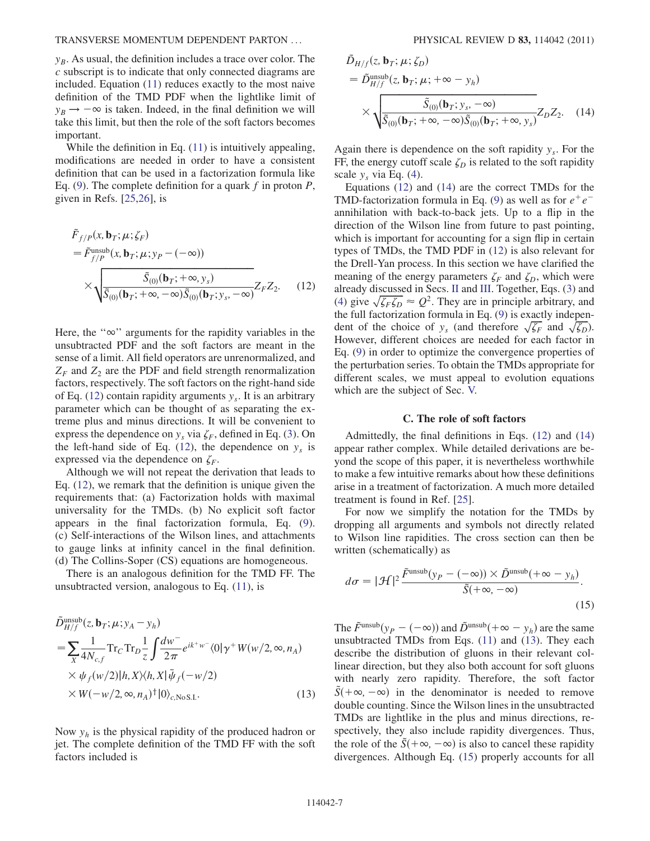$y_B$ . As usual, the definition includes a trace over color. The c subscript is to indicate that only connected diagrams are included. Equation [\(11\)](#page-6-3) reduces exactly to the most naive definition of the TMD PDF when the lightlike limit of  $y_B \rightarrow -\infty$  is taken. Indeed, in the final definition we will take this limit, but then the role of the soft factors becomes important.

While the definition in Eq. [\(11\)](#page-6-3) is intuitively appealing, modifications are needed in order to have a consistent definition that can be used in a factorization formula like Eq. [\(9\)](#page-6-1). The complete definition for a quark f in proton  $P$ , given in Refs. [\[25,](#page-19-10)[26\]](#page-19-11), is

<span id="page-7-0"></span>
$$
\tilde{F}_{f/P}(x, \mathbf{b}_T; \mu; \zeta_F) \n= \tilde{F}_{f/P}^{\text{unsub}}(x, \mathbf{b}_T; \mu; y_P - (-\infty)) \n\times \sqrt{\frac{\tilde{S}_{(0)}(\mathbf{b}_T; +\infty, y_s)}{\tilde{S}_{(0)}(\mathbf{b}_T; +\infty, -\infty)\tilde{S}_{(0)}(\mathbf{b}_T; y_s, -\infty)}} Z_F Z_2.
$$
\n(12)

Here, the " $\infty$ " arguments for the rapidity variables in the unsubtracted PDF and the soft factors are meant in the sense of a limit. All field operators are unrenormalized, and  $Z_F$  and  $Z_2$  are the PDF and field strength renormalization factors, respectively. The soft factors on the right-hand side of Eq. ([12](#page-7-0)) contain rapidity arguments  $y_s$ . It is an arbitrary parameter which can be thought of as separating the extreme plus and minus directions. It will be convenient to express the dependence on  $y_s$  via  $\zeta_F$ , defined in Eq. ([3\)](#page-5-4). On the left-hand side of Eq. ([12](#page-7-0)), the dependence on  $y_s$  is expressed via the dependence on  $\zeta_F$ .

Although we will not repeat the derivation that leads to Eq. ([12](#page-7-0)), we remark that the definition is unique given the requirements that: (a) Factorization holds with maximal universality for the TMDs. (b) No explicit soft factor appears in the final factorization formula, Eq. ([9\)](#page-6-1). (c) Self-interactions of the Wilson lines, and attachments to gauge links at infinity cancel in the final definition. (d) The Collins-Soper (CS) equations are homogeneous.

<span id="page-7-2"></span>There is an analogous definition for the TMD FF. The unsubtracted version, analogous to Eq. [\(11\)](#page-6-3), is

$$
\tilde{D}_{H/f}^{\text{unsub}}(z, \mathbf{b}_T; \mu; y_A - y_h)
$$
\n
$$
= \sum_X \frac{1}{4N_{c,f}} \text{Tr}_C \text{Tr}_D \frac{1}{z} \int \frac{dw^-}{2\pi} e^{ik^+w^-} \langle 0 | \gamma^+ W(w/2, \infty, n_A) \times \psi_f(w/2) | h, X \rangle \langle h, X | \bar{\psi}_f(-w/2) \times W(-w/2, \infty, n_A)^{\dagger} | 0 \rangle_{c, \text{No S.I.}} \tag{13}
$$

Now  $y_h$  is the physical rapidity of the produced hadron or jet. The complete definition of the TMD FF with the soft factors included is

<span id="page-7-1"></span>
$$
\tilde{D}_{H/f}(z, \mathbf{b}_T; \mu; \zeta_D)
$$
\n
$$
= \tilde{D}_{H/f}^{\text{unsub}}(z, \mathbf{b}_T; \mu; +\infty - y_h)
$$
\n
$$
\times \sqrt{\frac{\tilde{S}_{(0)}(\mathbf{b}_T; y_s, -\infty)}{\tilde{S}_{(0)}(\mathbf{b}_T; +\infty, -\infty)\tilde{S}_{(0)}(\mathbf{b}_T; +\infty, y_s)}} Z_D Z_2.
$$
\n(14)

Again there is dependence on the soft rapidity  $y_s$ . For the FF, the energy cutoff scale  $\zeta_D$  is related to the soft rapidity scale  $y_s$  via Eq. [\(4\)](#page-5-5).

Equations ([12](#page-7-0)) and [\(14\)](#page-7-1) are the correct TMDs for the TMD-factorization formula in Eq. ([9\)](#page-6-1) as well as for  $e^+e^$ annihilation with back-to-back jets. Up to a flip in the direction of the Wilson line from future to past pointing, which is important for accounting for a sign flip in certain types of TMDs, the TMD PDF in [\(12\)](#page-7-0) is also relevant for the Drell-Yan process. In this section we have clarified the meaning of the energy parameters  $\zeta_F$  and  $\zeta_D$ , which were already discussed in Secs. [II](#page-3-0) and [III.](#page-5-0) Together, Eqs. ([3](#page-5-4)) and [\(4\)](#page-5-5) give  $\sqrt{\zeta_F \zeta_D} \approx Q^2$ . They are in principle arbitrary, and the full factorization formula in Eq. ([9](#page-6-1)) is exactly independent of the choice of  $y_s$  (and therefore  $\sqrt{\zeta_F}$  and  $\sqrt{\zeta_D}$ ). However, different choices are needed for each factor in Eq. ([9](#page-6-1)) in order to optimize the convergence properties of the perturbation series. To obtain the TMDs appropriate for different scales, we must appeal to evolution equations which are the subject of Sec. [V.](#page-8-0)

#### C. The role of soft factors

<span id="page-7-4"></span>Admittedly, the final definitions in Eqs. [\(12\)](#page-7-0) and [\(14\)](#page-7-1) appear rather complex. While detailed derivations are beyond the scope of this paper, it is nevertheless worthwhile to make a few intuitive remarks about how these definitions arise in a treatment of factorization. A much more detailed treatment is found in Ref. [[25](#page-19-10)].

For now we simplify the notation for the TMDs by dropping all arguments and symbols not directly related to Wilson line rapidities. The cross section can then be written (schematically) as

<span id="page-7-3"></span>
$$
d\sigma = |\mathcal{H}|^2 \frac{\tilde{F}^{\text{unsub}}(y_P - (-\infty)) \times \tilde{D}^{\text{unsub}}(+\infty - y_h)}{\tilde{S}(+\infty, -\infty)}.
$$
\n(15)

The  $\tilde{F}^{\text{unsub}}(y_P - (-\infty))$  and  $\tilde{D}^{\text{unsub}}(+\infty - y_h)$  are the same unsubtracted TMDs from Eqs. [\(11](#page-6-3)) and ([13](#page-7-2)). They each describe the distribution of gluons in their relevant collinear direction, but they also both account for soft gluons with nearly zero rapidity. Therefore, the soft factor  $S(+\infty, -\infty)$  in the denominator is needed to remove double counting. Since the Wilson lines in the unsubtracted TMDs are lightlike in the plus and minus directions, respectively, they also include rapidity divergences. Thus, the role of the  $\tilde{S}(+\infty, -\infty)$  is also to cancel these rapidity divergences. Although Eq. ([15](#page-7-3)) properly accounts for all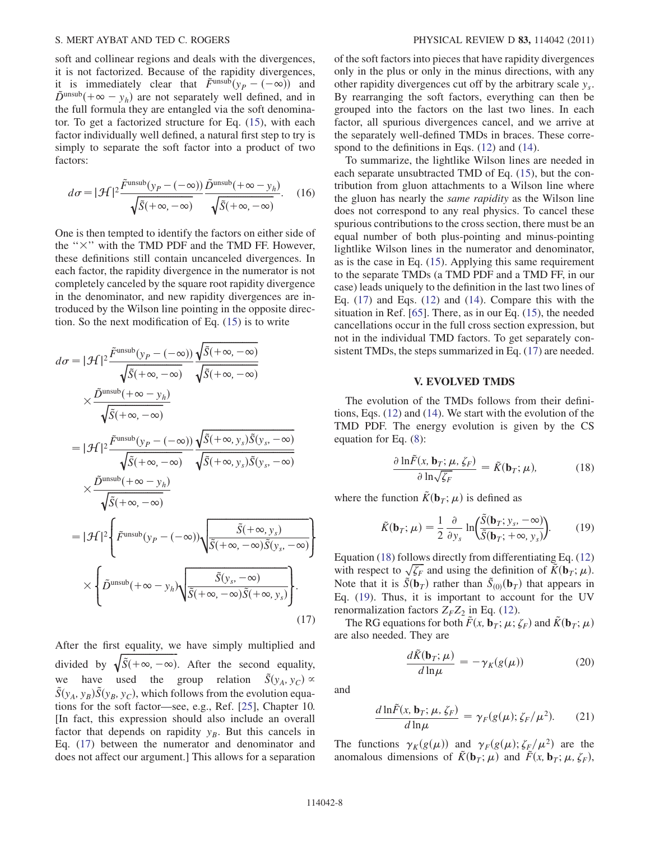soft and collinear regions and deals with the divergences, it is not factorized. Because of the rapidity divergences, it is immediately clear that  $\tilde{F}^{\text{unsub}}(y_P - (-\infty))$  and  $\tilde{D}^{\text{unsub}}(+\infty - y_h)$  are not separately well defined, and in the full formula they are entangled via the soft denominator. To get a factorized structure for Eq. ([15](#page-7-3)), with each factor individually well defined, a natural first step to try is simply to separate the soft factor into a product of two factors:

$$
d\sigma = |\mathcal{H}|^2 \frac{\tilde{F}^{\text{unsub}}(y_P - (-\infty))}{\sqrt{\tilde{S}(+\infty, -\infty)}} \frac{\tilde{D}^{\text{unsub}}(+\infty - y_h)}{\sqrt{\tilde{S}(+\infty, -\infty)}}.
$$
 (16)

One is then tempted to identify the factors on either side of the " $\times$ " with the TMD PDF and the TMD FF. However, these definitions still contain uncanceled divergences. In each factor, the rapidity divergence in the numerator is not completely canceled by the square root rapidity divergence in the denominator, and new rapidity divergences are introduced by the Wilson line pointing in the opposite direction. So the next modification of Eq. [\(15\)](#page-7-3) is to write

<span id="page-8-1"></span>
$$
d\sigma = |\mathcal{H}|^2 \frac{\tilde{F}^{\text{unsub}}(y_P - (-\infty))}{\sqrt{\tilde{S}(+\infty, -\infty)}} \frac{\sqrt{\tilde{S}(+\infty, -\infty)}}{\sqrt{\tilde{S}(+\infty, -\infty)}} \times \frac{\tilde{D}^{\text{unsub}}(+\infty - y_h)}{\sqrt{\tilde{S}(+\infty, -\infty)}} = |\mathcal{H}|^2 \frac{\tilde{F}^{\text{unsub}}(y_P - (-\infty))}{\sqrt{\tilde{S}(+\infty, -\infty)}} \frac{\sqrt{\tilde{S}(+\infty, y_s)\tilde{S}(y_s, -\infty)}}{\sqrt{\tilde{S}(+\infty, y_s)\tilde{S}(y_s, -\infty)}} \times \frac{\tilde{D}^{\text{unsub}}(+\infty - y_h)}{\sqrt{\tilde{S}(+\infty, -\infty)}} = |\mathcal{H}|^2 \Biggl\{ \tilde{F}^{\text{unsub}}(y_P - (-\infty)) \sqrt{\frac{\tilde{S}(+\infty, y_s)}{\tilde{S}(+\infty, -\infty)\tilde{S}(y_s, -\infty)}} \Biggr\} \times \Biggl\{ \tilde{D}^{\text{unsub}}(+\infty - y_h) \sqrt{\frac{\tilde{S}(y_s, -\infty)}{\tilde{S}(+\infty, -\infty)\tilde{S}(+\infty, y_s)}} \Biggr\} .
$$
\n(17)

After the first equality, we have simply multiplied and divided by  $\sqrt{\tilde{S}(+\infty, -\infty)}$ . After the second equality, we have used the group relation  $\tilde{S}(y_A, y_C) \propto$  $\overline{S}(y_A, y_B)\overline{S}(y_B, y_C)$ , which follows from the evolution equations for the soft factor—see, e.g., Ref. [[25](#page-19-10)], Chapter 10. [In fact, this expression should also include an overall factor that depends on rapidity  $y_B$ . But this cancels in Eq. [\(17\)](#page-8-1) between the numerator and denominator and does not affect our argument.] This allows for a separation of the soft factors into pieces that have rapidity divergences only in the plus or only in the minus directions, with any other rapidity divergences cut off by the arbitrary scale  $y_s$ . By rearranging the soft factors, everything can then be grouped into the factors on the last two lines. In each factor, all spurious divergences cancel, and we arrive at the separately well-defined TMDs in braces. These correspond to the definitions in Eqs. [\(12\)](#page-7-0) and ([14](#page-7-1)).

To summarize, the lightlike Wilson lines are needed in each separate unsubtracted TMD of Eq. ([15](#page-7-3)), but the contribution from gluon attachments to a Wilson line where the gluon has nearly the same rapidity as the Wilson line does not correspond to any real physics. To cancel these spurious contributions to the cross section, there must be an equal number of both plus-pointing and minus-pointing lightlike Wilson lines in the numerator and denominator, as is the case in Eq. ([15](#page-7-3)). Applying this same requirement to the separate TMDs (a TMD PDF and a TMD FF, in our case) leads uniquely to the definition in the last two lines of Eq. ([17](#page-8-1)) and Eqs. [\(12\)](#page-7-0) and ([14\)](#page-7-1). Compare this with the situation in Ref. [\[65\]](#page-19-46). There, as in our Eq. ([15](#page-7-3)), the needed cancellations occur in the full cross section expression, but not in the individual TMD factors. To get separately consistent TMDs, the steps summarized in Eq. ([17](#page-8-1)) are needed.

#### V. EVOLVED TMDS

<span id="page-8-2"></span><span id="page-8-0"></span>The evolution of the TMDs follows from their definitions, Eqs. ([12](#page-7-0)) and [\(14\)](#page-7-1). We start with the evolution of the TMD PDF. The energy evolution is given by the CS equation for Eq. [\(8](#page-5-3)):

$$
\frac{\partial \ln \tilde{F}(x, \mathbf{b}_T; \mu, \zeta_F)}{\partial \ln \sqrt{\zeta_F}} = \tilde{K}(\mathbf{b}_T; \mu),\tag{18}
$$

<span id="page-8-3"></span>where the function  $\tilde{K}(\mathbf{b}_T; \mu)$  is defined as

$$
\tilde{K}(\mathbf{b}_T; \mu) = \frac{1}{2} \frac{\partial}{\partial y_s} \ln \left( \frac{\tilde{S}(\mathbf{b}_T; y_s, -\infty)}{\tilde{S}(\mathbf{b}_T; +\infty, y_s)} \right).
$$
(19)

Equation [\(18\)](#page-8-2) follows directly from differentiating Eq. [\(12\)](#page-7-0) with respect to  $\sqrt{\zeta_F}$  and using the definition of  $\tilde{K}(\mathbf{b}_T; \mu)$ . Note that it is  $\tilde{S}(\mathbf{b}_T)$  rather than  $\tilde{S}_{(0)}(\mathbf{b}_T)$  that appears in Eq. ([19](#page-8-3)). Thus, it is important to account for the UV renormalization factors  $Z_F Z_2$  in Eq. ([12](#page-7-0)).

<span id="page-8-5"></span>The RG equations for both  $\tilde{F}(x, \mathbf{b}_T; \mu; \zeta_F)$  and  $\tilde{K}(\mathbf{b}_T; \mu)$ are also needed. They are

$$
\frac{d\tilde{K}(\mathbf{b}_T;\mu)}{d\ln\mu} = -\gamma_K(g(\mu))\tag{20}
$$

<span id="page-8-4"></span>and

$$
\frac{d\ln\tilde{F}(x,\mathbf{b}_T;\mu,\zeta_F)}{d\ln\mu} = \gamma_F(g(\mu);\zeta_F/\mu^2). \tag{21}
$$

The functions  $\gamma_K(g(\mu))$  and  $\gamma_F(g(\mu); \zeta_F/\mu^2)$  are the anomalous dimensions of  $\tilde{K}(\mathbf{b}_T; \mu)$  and  $\tilde{F}(x, \mathbf{b}_T; \mu, \zeta_F)$ ,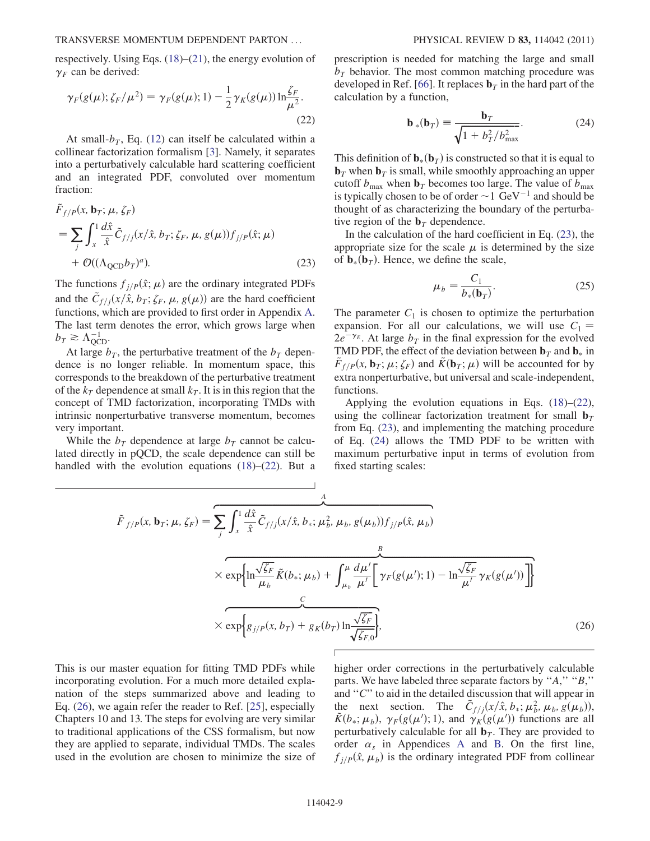respectively. Using Eqs. ([18](#page-8-2))–[\(21\)](#page-8-4), the energy evolution of  $\gamma_F$  can be derived:

<span id="page-9-0"></span>
$$
\gamma_F(g(\mu); \zeta_F/\mu^2) = \gamma_F(g(\mu); 1) - \frac{1}{2} \gamma_K(g(\mu)) \ln \frac{\zeta_F}{\mu^2}.
$$
\n(22)

At small- $b_T$ , Eq. [\(12\)](#page-7-0) can itself be calculated within a collinear factorization formalism [\[3\]](#page-18-2). Namely, it separates into a perturbatively calculable hard scattering coefficient and an integrated PDF, convoluted over momentum fraction:

<span id="page-9-1"></span>
$$
\tilde{F}_{f/P}(x, \mathbf{b}_T; \mu, \zeta_F)
$$
\n
$$
= \sum_j \int_x^1 \frac{d\hat{x}}{\hat{x}} \tilde{C}_{f/j}(x/\hat{x}, b_T; \zeta_F, \mu, g(\mu)) f_{j/P}(\hat{x}; \mu)
$$
\n
$$
+ \mathcal{O}((\Lambda_{QCD} b_T)^a). \tag{23}
$$

The functions  $f_{j/P}(\hat{x}; \mu)$  are the ordinary integrated PDFs and the  $\tilde{C}_{f}/\tilde{x}$ ,  $\tilde{b}_T$ ;  $\zeta_F$ ,  $\mu$ ,  $g(\mu)$  are the hard coefficient functions, which are provided to first order in Appendix [A](#page-16-0). The last term denotes the error, which grows large when  $b_T \geq \Lambda_{\rm QCD}^{-1}$ .

At large  $b_T$ , the perturbative treatment of the  $b_T$  dependence is no longer reliable. In momentum space, this corresponds to the breakdown of the perturbative treatment of the  $k_T$  dependence at small  $k_T$ . It is in this region that the concept of TMD factorization, incorporating TMDs with intrinsic nonperturbative transverse momentum, becomes very important.

<span id="page-9-3"></span>While the  $b_T$  dependence at large  $b_T$  cannot be calculated directly in pQCD, the scale dependence can still be handled with the evolution equations [\(18](#page-8-2))–([22](#page-9-0)). But a <span id="page-9-2"></span>prescription is needed for matching the large and small  $b_T$  behavior. The most common matching procedure was developed in Ref. [[66](#page-19-47)]. It replaces  $\mathbf{b}_T$  in the hard part of the calculation by a function,

$$
\mathbf{b}_{*}(\mathbf{b}_{T}) = \frac{\mathbf{b}_{T}}{\sqrt{1 + b_{T}^{2}/b_{\max}^{2}}}.
$$
 (24)

This definition of  $\mathbf{b}_*(\mathbf{b}_T)$  is constructed so that it is equal to  $\mathbf{b}_T$  when  $\mathbf{b}_T$  is small, while smoothly approaching an upper cutoff  $b_{\text{max}}$  when  $\mathbf{b}_T$  becomes too large. The value of  $b_{\text{max}}$ is typically chosen to be of order  $\sim$  1 GeV<sup>-1</sup> and should be thought of as characterizing the boundary of the perturbative region of the  $\mathbf{b}_T$  dependence.

In the calculation of the hard coefficient in Eq. ([23](#page-9-1)), the appropriate size for the scale  $\mu$  is determined by the size of  $\mathbf{b}_*(\mathbf{b}_T)$ . Hence, we define the scale,

$$
\mu_b = \frac{C_1}{b_*(\mathbf{b}_T)}.\tag{25}
$$

The parameter  $C_1$  is chosen to optimize the perturbation expansion. For all our calculations, we will use  $C_1$  =  $2e^{-\gamma_E}$ . At large  $b_T$  in the final expression for the evolved TMD PDF, the effect of the deviation between  $\mathbf{b}_T$  and  $\mathbf{b}_*$  in  $\tilde{F}_{f/P}(x, \mathbf{b}_T; \mu; \zeta_F)$  and  $\tilde{K}(\mathbf{b}_T; \mu)$  will be accounted for by extra nonperturbative, but universal and scale-independent, functions.

Applying the evolution equations in Eqs. ([18](#page-8-2))–([22\)](#page-9-0), using the collinear factorization treatment for small  $\mathbf{b}_T$ from Eq. ([23](#page-9-1)), and implementing the matching procedure of Eq. ([24](#page-9-2)) allows the TMD PDF to be written with maximum perturbative input in terms of evolution from fixed starting scales:

$$
\tilde{F}_{f/P}(x, \mathbf{b}_T; \mu, \zeta_F) = \sum_{j} \int_x^1 \frac{d\hat{x}}{\hat{x}} \tilde{C}_{f/j}(x/\hat{x}, b_*; \mu_b^2, \mu_b, g(\mu_b)) f_{j/P}(\hat{x}, \mu_b)
$$
\n
$$
\times \exp\left\{\ln \frac{\sqrt{\zeta_F}}{\mu_b} \tilde{K}(b_*; \mu_b) + \int_{\mu_b}^{\mu} \frac{d\mu'}{\mu'} \left[\gamma_F(g(\mu'); 1) - \ln \frac{\sqrt{\zeta_F}}{\mu'} \gamma_K(g(\mu'))\right]\right\}
$$
\n
$$
\times \exp\left\{g_{j/P}(x, b_T) + g_K(b_T) \ln \frac{\sqrt{\zeta_F}}{\sqrt{\zeta_{F,0}}}\right\},\tag{26}
$$

This is our master equation for fitting TMD PDFs while incorporating evolution. For a much more detailed explanation of the steps summarized above and leading to Eq. ([26](#page-9-3)), we again refer the reader to Ref. [[25](#page-19-10)], especially Chapters 10 and 13. The steps for evolving are very similar to traditional applications of the CSS formalism, but now they are applied to separate, individual TMDs. The scales used in the evolution are chosen to minimize the size of higher order corrections in the perturbatively calculable parts. We have labeled three separate factors by ''A,'' ''B,'' and " $C$ " to aid in the detailed discussion that will appear in the next section. The  $\tilde{C}_{f/j}(x/\hat{x}, b_*, \mu_b^2, \mu_b, g(\mu_b))$ ,  $\tilde{K}(b_*; \mu_b)$ ,  $\gamma_F(g(\mu'); 1)$ , and  $\gamma_K(g(\mu'))$  functions are all perturbatively calculable for all  $\mathbf{b}_T$ . They are provided to order  $\alpha_s$  in [A](#page-16-0)ppendices A and [B](#page-18-3). On the first line,  $f_{j/P}(\hat{x}, \mu_b)$  is the ordinary integrated PDF from collinear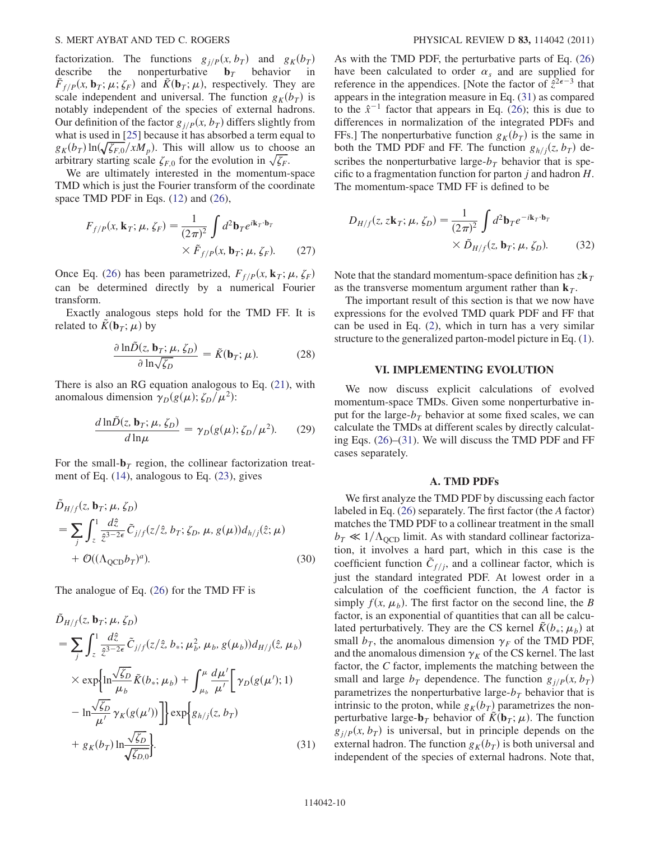factorization. The functions  $g_{j/P}(x, b_T)$  and  $g_K(b_T)$ <br>describe the nonperturbative  $\mathbf{b}_T$  behavior in nonperturbative  $\mathbf{b}_T$  behavior  $\tilde{F}_{f/P}(x, \mathbf{b}_T; \mu; \zeta_F)$  and  $\tilde{K}(\mathbf{b}_T; \mu)$ , respectively. They are scale independent and universal. The function  $g_K(b_T)$  is notably independent of the species of external hadrons. Our definition of the factor  $g_{i/P}(x, b_T)$  differs slightly from what is used in [\[25\]](#page-19-10) because it has absorbed a term equal to  $g_K(b_T) \ln(\sqrt{\zeta_{F,0}}/xM_p)$ . This will allow us to choose an arbitrary starting scale  $\zeta_{F,0}$  for the evolution in  $\sqrt{\zeta_F}$ .

<span id="page-10-2"></span>We are ultimately interested in the momentum-space TMD which is just the Fourier transform of the coordinate space TMD PDF in Eqs. ([12](#page-7-0)) and [\(26\)](#page-9-3),

$$
F_{f/P}(x, \mathbf{k}_T; \mu, \zeta_F) = \frac{1}{(2\pi)^2} \int d^2 \mathbf{b}_T e^{i\mathbf{k}_T \cdot \mathbf{b}_T}
$$

$$
\times \tilde{F}_{f/P}(x, \mathbf{b}_T; \mu, \zeta_F).
$$
 (27)

Once Eq. ([26](#page-9-3)) has been parametrized,  $F_{f/P}(x, \mathbf{k}_T; \mu, \zeta_F)$ can be determined directly by a numerical Fourier transform.

Exactly analogous steps hold for the TMD FF. It is related to  $\tilde{K}(\mathbf{b}_T; \mu)$  by

$$
\frac{\partial \ln \tilde{D}(z, \mathbf{b}_T; \mu, \zeta_D)}{\partial \ln \sqrt{\zeta_D}} = \tilde{K}(\mathbf{b}_T; \mu).
$$
 (28)

<span id="page-10-4"></span>There is also an RG equation analogous to Eq. ([21](#page-8-4)), with anomalous dimension  $\gamma_D(g(\mu); \zeta_D/\mu^2)$ :

$$
\frac{d\ln\tilde{D}(z, \mathbf{b}_T; \mu, \zeta_D)}{d\ln\mu} = \gamma_D(g(\mu); \zeta_D/\mu^2). \tag{29}
$$

<span id="page-10-3"></span>For the small- $\mathbf{b}_T$  region, the collinear factorization treatment of Eq. ([14\)](#page-7-1), analogous to Eq. ([23](#page-9-1)), gives

$$
\tilde{D}_{H/f}(z, \mathbf{b}_T; \mu, \zeta_D)
$$
\n
$$
= \sum_j \int_z^1 \frac{d\hat{z}}{\hat{z}^{3-2\epsilon}} \tilde{C}_{j/f}(z/\hat{z}, b_T; \zeta_D, \mu, g(\mu)) d_{h/j}(\hat{z}; \mu)
$$
\n
$$
+ \mathcal{O}((\Lambda_{QCD} b_T)^a). \tag{30}
$$

<span id="page-10-1"></span>The analogue of Eq. ([26](#page-9-3)) for the TMD FF is

$$
\tilde{D}_{H/f}(z, \mathbf{b}_T; \mu, \zeta_D)
$$
\n
$$
= \sum_j \int_z^1 \frac{d\hat{z}}{\hat{z}^{3-2\epsilon}} \tilde{C}_{j/f}(z/\hat{z}, b_*; \mu_b^2, \mu_b, g(\mu_b)) d_{H/j}(\hat{z}, \mu_b)
$$
\n
$$
\times \exp\left\{\ln \frac{\sqrt{\zeta_D}}{\mu_b} \tilde{K}(b_*; \mu_b) + \int_{\mu_b}^{\mu} \frac{d\mu'}{\mu'} \left[\gamma_D(g(\mu'); 1) - \ln \frac{\sqrt{\zeta_D}}{\mu'} \gamma_K(g(\mu'))\right]\right\} \exp\left\{g_{h/j}(z, b_T) + g_K(b_T) \ln \frac{\sqrt{\zeta_D}}{\sqrt{\zeta_{D,0}}}\right\}.
$$
\n(31)

As with the TMD PDF, the perturbative parts of Eq. [\(26\)](#page-9-3) have been calculated to order  $\alpha_s$  and are supplied for reference in the appendices. [Note the factor of  $\hat{z}^{2\epsilon-3}$  that appears in the integration measure in Eq. [\(31\)](#page-10-1) as compared to the  $\hat{x}^{-1}$  factor that appears in Eq. ([26](#page-9-3)); this is due to differences in normalization of the integrated PDFs and FFs.] The nonperturbative function  $g_K(b_T)$  is the same in both the TMD PDF and FF. The function  $g_{h/i}(z, b_T)$  describes the nonperturbative large- $b<sub>T</sub>$  behavior that is specific to a fragmentation function for parton  $j$  and hadron  $H$ . The momentum-space TMD FF is defined to be

$$
D_{H/f}(z, z\mathbf{k}_T; \mu, \zeta_D) = \frac{1}{(2\pi)^2} \int d^2 \mathbf{b}_T e^{-i\mathbf{k}_T \cdot \mathbf{b}_T}
$$
  
 
$$
\times \tilde{D}_{H/f}(z, \mathbf{b}_T; \mu, \zeta_D).
$$
 (32)

Note that the standard momentum-space definition has  $z\mathbf{k}_T$ as the transverse momentum argument rather than  $\mathbf{k}_T$ .

The important result of this section is that we now have expressions for the evolved TMD quark PDF and FF that can be used in Eq. [\(2](#page-5-1)), which in turn has a very similar structure to the generalized parton-model picture in Eq. ([1\)](#page-3-1).

#### VI. IMPLEMENTING EVOLUTION

<span id="page-10-0"></span>We now discuss explicit calculations of evolved momentum-space TMDs. Given some nonperturbative input for the large- $b_T$  behavior at some fixed scales, we can calculate the TMDs at different scales by directly calculating Eqs. ([26](#page-9-3))–([31](#page-10-1)). We will discuss the TMD PDF and FF cases separately.

#### A. TMD PDFs

We first analyze the TMD PDF by discussing each factor labeled in Eq. ([26](#page-9-3)) separately. The first factor (the A factor) matches the TMD PDF to a collinear treatment in the small  $b_T \ll 1/\Lambda_{\text{QCD}}$  limit. As with standard collinear factorization, it involves a hard part, which in this case is the coefficient function  $\tilde{C}_{f/j}$ , and a collinear factor, which is just the standard integrated PDF. At lowest order in a calculation of the coefficient function, the A factor is simply  $f(x, \mu_b)$ . The first factor on the second line, the B factor, is an exponential of quantities that can all be calculated perturbatively. They are the CS kernel  $\tilde{K}(b_*, \mu_b)$  at small  $b_T$ , the anomalous dimension  $\gamma_F$  of the TMD PDF, and the anomalous dimension  $\gamma_K$  of the CS kernel. The last factor, the C factor, implements the matching between the small and large  $b_T$  dependence. The function  $g_{j/P}(x, b_T)$ parametrizes the nonperturbative large- $b_T$  behavior that is intrinsic to the proton, while  $g_K(b_T)$  parametrizes the nonperturbative large- $\mathbf{b}_T$  behavior of  $\tilde{K}(\mathbf{b}_T; \mu)$ . The function  $g_{i/P}(x, b_T)$  is universal, but in principle depends on the external hadron. The function  $g_K(b_T)$  is both universal and independent of the species of external hadrons. Note that,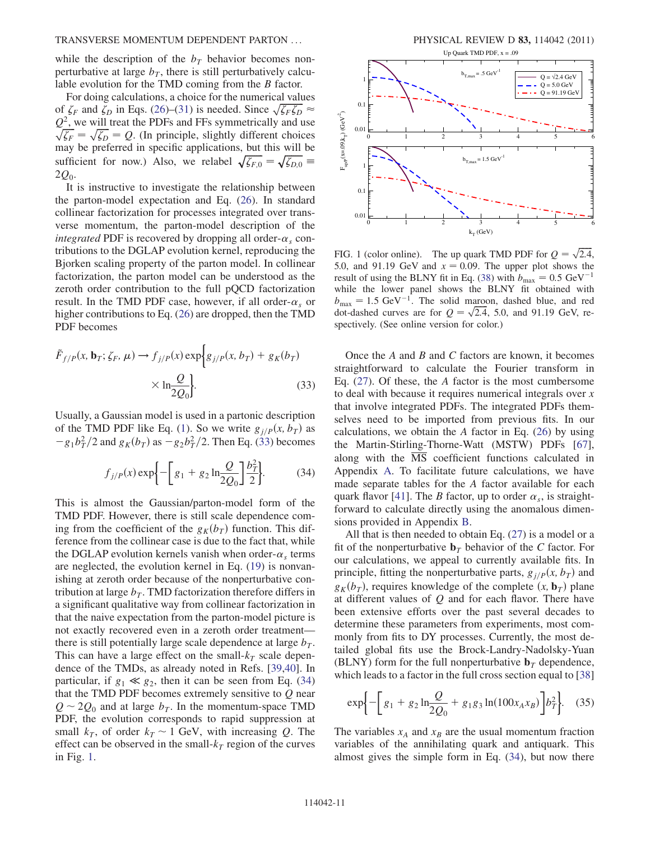while the description of the  $b<sub>T</sub>$  behavior becomes nonperturbative at large  $b<sub>T</sub>$ , there is still perturbatively calculable evolution for the TMD coming from the B factor.

For doing calculations, a choice for the numerical values of  $\zeta_F$  and  $\zeta_D$  in Eqs. [\(26\)](#page-9-3)–([31](#page-10-1)) is needed. Since  $\sqrt{\zeta_F \zeta_D} \approx$  $Q^2$ , we will treat the PDFs and FFs symmetrically and use  $\sqrt{\zeta_F} = \sqrt{\zeta_D} = Q$ . (In principle, slightly different choices may be preferred in specific applications, but this will be sufficient for now.) Also, we relabel  $\sqrt{\zeta_{F,0}} = \sqrt{\zeta_{D,0}} =$  $2Q_0$ .

It is instructive to investigate the relationship between the parton-model expectation and Eq. ([26](#page-9-3)). In standard collinear factorization for processes integrated over transverse momentum, the parton-model description of the integrated PDF is recovered by dropping all order- $\alpha_{\rm s}$  contributions to the DGLAP evolution kernel, reproducing the Bjorken scaling property of the parton model. In collinear factorization, the parton model can be understood as the zeroth order contribution to the full pQCD factorization result. In the TMD PDF case, however, if all order- $\alpha_s$  or higher contributions to Eq. [\(26\)](#page-9-3) are dropped, then the TMD PDF becomes

<span id="page-11-0"></span>
$$
\tilde{F}_{f/P}(x, \mathbf{b}_T; \zeta_F, \mu) \to f_{j/P}(x) \exp\bigg\{g_{j/P}(x, b_T) + g_K(b_T) \times \ln \frac{Q}{2Q_0}\bigg\}.
$$
\n(33)

<span id="page-11-1"></span>Usually, a Gaussian model is used in a partonic description of the TMD PDF like Eq. [\(1](#page-3-1)). So we write  $g_{i/P}(x, b_T)$  as  $-g_1b_T^2/2$  and  $g_K(b_T)$  as  $-g_2b_T^2/2$ . Then Eq. [\(33](#page-11-0)) becomes

$$
f_{j/P}(x) \exp \left\{ -\left[ g_1 + g_2 \ln \frac{Q}{2Q_0} \right] \frac{b_T^2}{2} \right\}
$$
 (34)

This is almost the Gaussian/parton-model form of the TMD PDF. However, there is still scale dependence coming from the coefficient of the  $g_K(b_T)$  function. This difference from the collinear case is due to the fact that, while the DGLAP evolution kernels vanish when order- $\alpha_s$  terms are neglected, the evolution kernel in Eq. ([19](#page-8-3)) is nonvanishing at zeroth order because of the nonperturbative contribution at large  $b_T$ . TMD factorization therefore differs in a significant qualitative way from collinear factorization in that the naive expectation from the parton-model picture is not exactly recovered even in a zeroth order treatment there is still potentially large scale dependence at large  $b_T$ . This can have a large effect on the small- $k_T$  scale dependence of the TMDs, as already noted in Refs. [\[39](#page-19-20)[,40\]](#page-19-21). In particular, if  $g_1 \ll g_2$ , then it can be seen from Eq. [\(34\)](#page-11-1) that the TMD PDF becomes extremely sensitive to  $Q$  near  $Q \sim 2Q_0$  and at large  $b_T$ . In the momentum-space TMD PDF, the evolution corresponds to rapid suppression at small  $k_T$ , of order  $k_T \sim 1$  GeV, with increasing Q. The effect can be observed in the small- $k_T$  region of the curves in Fig. [1.](#page-11-2)

<span id="page-11-2"></span>

FIG. 1 (color online). The up quark TMD PDF for  $Q = \sqrt{2.4}$ , 5.0, and 91.19 GeV and  $x = 0.09$ . The upper plot shows the result of using the BLNY fit in Eq. [\(38\)](#page-12-0) with  $b_{\text{max}} = 0.5 \text{ GeV}^{-1}$ while the lower panel shows the BLNY fit obtained with  $b_{\text{max}} = 1.5 \text{ GeV}^{-1}$ . The solid maroon, dashed blue, and red  $\omega_{\text{max}}$  1.5 GeV : The solid matool, dished one, and fedded carriers are for  $Q = \sqrt{2.4}$ , 5.0, and 91.19 GeV, respectively. (See online version for color.)

Once the  $A$  and  $B$  and  $C$  factors are known, it becomes straightforward to calculate the Fourier transform in Eq. ([27\)](#page-10-2). Of these, the A factor is the most cumbersome to deal with because it requires numerical integrals over x that involve integrated PDFs. The integrated PDFs themselves need to be imported from previous fits. In our calculations, we obtain the  $A$  factor in Eq. ([26](#page-9-3)) by using the Martin-Stirling-Thorne-Watt (MSTW) PDFs [[67\]](#page-19-48), along with the  $\overline{MS}$  coefficient functions calculated in Appendix [A.](#page-16-0) To facilitate future calculations, we have made separate tables for the A factor available for each quark flavor [\[41\]](#page-19-22). The B factor, up to order  $\alpha_s$ , is straightforward to calculate directly using the anomalous dimensions provided in Appendix [B](#page-18-3).

All that is then needed to obtain Eq. [\(27](#page-10-2)) is a model or a fit of the nonperturbative  $\mathbf{b}_T$  behavior of the C factor. For our calculations, we appeal to currently available fits. In principle, fitting the nonperturbative parts,  $g_{i/P}(x, b_T)$  and  $g_K(b_T)$ , requires knowledge of the complete  $(x, \mathbf{b}_T)$  plane at different values of  $Q$  and for each flavor. There have been extensive efforts over the past several decades to determine these parameters from experiments, most commonly from fits to DY processes. Currently, the most detailed global fits use the Brock-Landry-Nadolsky-Yuan (BLNY) form for the full nonperturbative  $\mathbf{b}_T$  dependence, which leads to a factor in the full cross section equal to [\[38\]](#page-19-19)

<span id="page-11-3"></span>
$$
\exp\left\{-\left[g_1 + g_2 \ln \frac{Q}{2Q_0} + g_1 g_3 \ln(100x_A x_B)\right] b_T^2\right\}.
$$
 (35)

The variables  $x_A$  and  $x_B$  are the usual momentum fraction variables of the annihilating quark and antiquark. This almost gives the simple form in Eq. ([34\)](#page-11-1), but now there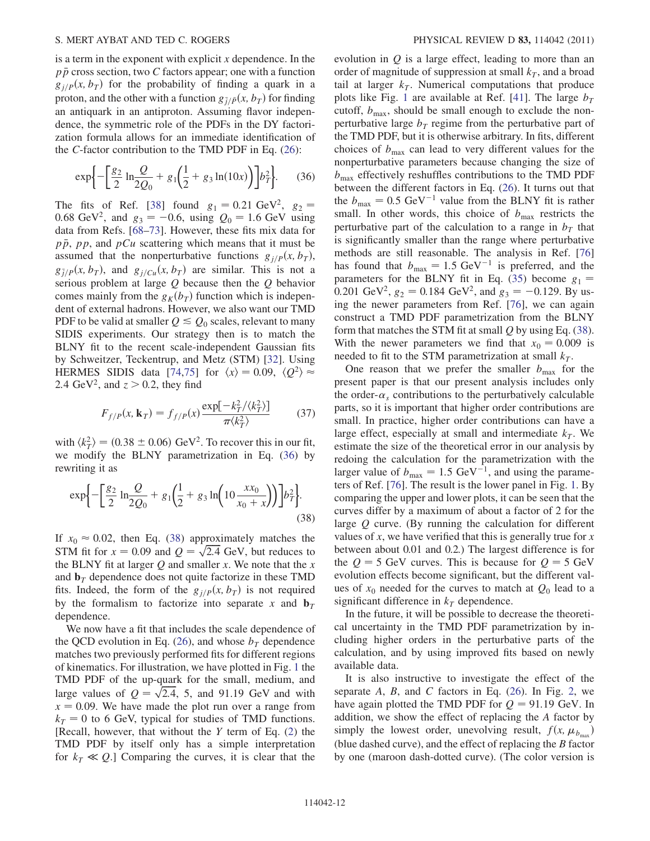is a term in the exponent with explicit  $x$  dependence. In the  $p\bar{p}$  cross section, two C factors appear; one with a function  $g_{i/P}(x, b_T)$  for the probability of finding a quark in a proton, and the other with a function  $g_{\bar{j}/\bar{P}}(x, b_T)$  for finding an antiquark in an antiproton. Assuming flavor independence, the symmetric role of the PDFs in the DY factorization formula allows for an immediate identification of the C-factor contribution to the TMD PDF in Eq. ([26](#page-9-3)):

<span id="page-12-1"></span>
$$
\exp\left\{-\left[\frac{g_2}{2}\ln\frac{Q}{2Q_0} + g_1\left(\frac{1}{2} + g_3\ln(10x)\right)\right]b_T^2\right\}.\tag{36}
$$

The fits of Ref. [[38\]](#page-19-19) found  $g_1 = 0.21 \text{ GeV}^2$ ,  $g_2 =$ 0.68 GeV<sup>2</sup>, and  $g_3 = -0.6$ , using  $Q_0 = 1.6$  GeV using data from Refs. [[68](#page-20-0)–[73\]](#page-20-1). However, these fits mix data for  $p\bar{p}$ , pp, and  $pCu$  scattering which means that it must be assumed that the nonperturbative functions  $g_{i/P}(x, b_T)$ ,  $g_{\bar{j}/P}(x, b_T)$ , and  $g_{j/Cu}(x, b_T)$  are similar. This is not a serious problem at large Q because then the Q behavior comes mainly from the  $g_K(b_T)$  function which is independent of external hadrons. However, we also want our TMD PDF to be valid at smaller  $Q \leq Q_0$  scales, relevant to many SIDIS experiments. Our strategy then is to match the BLNY fit to the recent scale-independent Gaussian fits by Schweitzer, Teckentrup, and Metz (STM) [[32](#page-19-13)]. Using HERMES SIDIS data [\[74](#page-20-2)[,75\]](#page-20-3) for  $\langle x \rangle = 0.09$ ,  $\langle Q^2 \rangle \approx$ 2.4 GeV<sup>2</sup>, and  $z > 0.2$ , they find

<span id="page-12-2"></span>
$$
F_{f/P}(x, \mathbf{k}_T) = f_{f/P}(x) \frac{\exp[-k_T^2/\langle k_T^2 \rangle]}{\pi \langle k_T^2 \rangle} \tag{37}
$$

with  $\langle k_T^2 \rangle = (0.38 \pm 0.06) \text{ GeV}^2$ . To recover this in our fit, we modify the BLNY parametrization in Eq. ([36](#page-12-1)) by rewriting it as

<span id="page-12-0"></span>
$$
\exp\left\{-\left[\frac{g_2}{2}\ln\frac{Q}{2Q_0} + g_1\left(\frac{1}{2} + g_3\ln\left(10\frac{xx_0}{x_0 + x}\right)\right)\right]b_T^2\right\}.
$$
\n(38)

If  $x_0 \approx 0.02$ , then Eq. ([38](#page-12-0)) approximately matches the STM fit for  $x = 0.09$  and  $Q = \sqrt{2.4}$  GeV, but reduces to the BLNY fit at larger  $Q$  and smaller x. We note that the x and  $\mathbf{b}_T$  dependence does not quite factorize in these TMD fits. Indeed, the form of the  $g_{i/P}(x, b_T)$  is not required by the formalism to factorize into separate x and  $\mathbf{b}_T$ dependence.

We now have a fit that includes the scale dependence of the QCD evolution in Eq. ([26](#page-9-3)), and whose  $b<sub>T</sub>$  dependence matches two previously performed fits for different regions of kinematics. For illustration, we have plotted in Fig. [1](#page-11-2) the TMD PDF of the up-quark for the small, medium, and large values of  $Q = \sqrt{2.4}$ , 5, and 91.19 GeV and with  $x = 0.09$ . We have made the plot run over a range from  $k_T = 0$  to 6 GeV, typical for studies of TMD functions. [Recall, however, that without the  $Y$  term of Eq. ([2\)](#page-5-1) the TMD PDF by itself only has a simple interpretation for  $k_T \ll Q$ .] Comparing the curves, it is clear that the

evolution in  $Q$  is a large effect, leading to more than an order of magnitude of suppression at small  $k_T$ , and a broad tail at larger  $k_T$ . Numerical computations that produce plots like Fig. [1](#page-11-2) are available at Ref. [[41](#page-19-22)]. The large  $b<sub>T</sub>$ cutoff,  $b_{\text{max}}$ , should be small enough to exclude the nonperturbative large  $b_T$  regime from the perturbative part of the TMD PDF, but it is otherwise arbitrary. In fits, different choices of  $b_{\text{max}}$  can lead to very different values for the nonperturbative parameters because changing the size of  $b_{\text{max}}$  effectively reshuffles contributions to the TMD PDF between the different factors in Eq. [\(26\)](#page-9-3). It turns out that the  $b_{\text{max}} = 0.5 \text{ GeV}^{-1}$  value from the BLNY fit is rather small. In other words, this choice of  $b_{\text{max}}$  restricts the perturbative part of the calculation to a range in  $b<sub>T</sub>$  that is significantly smaller than the range where perturbative methods are still reasonable. The analysis in Ref. [\[76\]](#page-20-4) has found that  $b_{\text{max}} = 1.5 \text{ GeV}^{-1}$  is preferred, and the parameters for the BLNY fit in Eq. [\(35\)](#page-11-3) become  $g_1$  = 0.201 GeV<sup>2</sup>,  $g_2 = 0.184$  GeV<sup>2</sup>, and  $g_3 = -0.129$ . By using the newer parameters from Ref. [[76](#page-20-4)], we can again construct a TMD PDF parametrization from the BLNY form that matches the STM fit at small  $Q$  by using Eq. ([38\)](#page-12-0). With the newer parameters we find that  $x_0 = 0.009$  is needed to fit to the STM parametrization at small  $k_T$ .

One reason that we prefer the smaller  $b_{\text{max}}$  for the present paper is that our present analysis includes only the order- $\alpha_s$  contributions to the perturbatively calculable parts, so it is important that higher order contributions are small. In practice, higher order contributions can have a large effect, especially at small and intermediate  $k<sub>T</sub>$ . We estimate the size of the theoretical error in our analysis by redoing the calculation for the parametrization with the larger value of  $b_{\text{max}} = 1.5 \text{ GeV}^{-1}$ , and using the parameters of Ref. [[76](#page-20-4)]. The result is the lower panel in Fig. [1.](#page-11-2) By comparing the upper and lower plots, it can be seen that the curves differ by a maximum of about a factor of 2 for the large Q curve. (By running the calculation for different values of  $x$ , we have verified that this is generally true for  $x$ between about 0.01 and 0.2.) The largest difference is for the  $Q = 5$  GeV curves. This is because for  $Q = 5$  GeV evolution effects become significant, but the different values of  $x_0$  needed for the curves to match at  $Q_0$  lead to a significant difference in  $k<sub>T</sub>$  dependence.

In the future, it will be possible to decrease the theoretical uncertainty in the TMD PDF parametrization by including higher orders in the perturbative parts of the calculation, and by using improved fits based on newly available data.

It is also instructive to investigate the effect of the separate  $A$ ,  $B$ , and  $C$  factors in Eq. [\(26\)](#page-9-3). In Fig. [2,](#page-13-0) we have again plotted the TMD PDF for  $Q = 91.19$  GeV. In addition, we show the effect of replacing the A factor by simply the lowest order, unevolving result,  $f(x, \mu_{b_{\text{max}}})$ (blue dashed curve), and the effect of replacing the B factor by one (maroon dash-dotted curve). (The color version is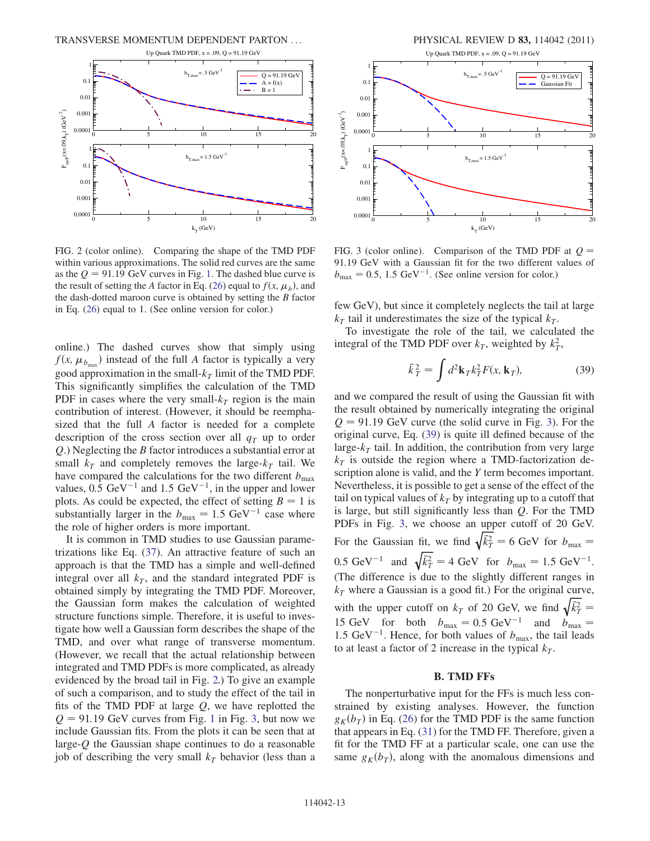<span id="page-13-0"></span>

FIG. 2 (color online). Comparing the shape of the TMD PDF within various approximations. The solid red curves are the same as the  $Q = 91.19$  $Q = 91.19$  $Q = 91.19$  GeV curves in Fig. 1. The dashed blue curve is the result of setting the A factor in Eq. [\(26\)](#page-9-3) equal to  $f(x, \mu_b)$ , and the dash-dotted maroon curve is obtained by setting the  $B$  factor in Eq. [\(26\)](#page-9-3) equal to 1. (See online version for color.)

online.) The dashed curves show that simply using  $f(x, \mu_{b_{\text{max}}})$  instead of the full A factor is typically a very good approximation in the small- $k<sub>T</sub>$  limit of the TMD PDF. This significantly simplifies the calculation of the TMD PDF in cases where the very small- $k<sub>T</sub>$  region is the main contribution of interest. (However, it should be reemphasized that the full A factor is needed for a complete description of the cross section over all  $q_T$  up to order Q.) Neglecting the B factor introduces a substantial error at small  $k_T$  and completely removes the large- $k_T$  tail. We have compared the calculations for the two different  $b_{\text{max}}$ values,  $0.5 \text{ GeV}^{-1}$  and  $1.5 \text{ GeV}^{-1}$ , in the upper and lower plots. As could be expected, the effect of setting  $B = 1$  is substantially larger in the  $b_{\text{max}} = 1.5 \text{ GeV}^{-1}$  case where the role of higher orders is more important.

It is common in TMD studies to use Gaussian parametrizations like Eq. ([37](#page-12-2)). An attractive feature of such an approach is that the TMD has a simple and well-defined integral over all  $k_T$ , and the standard integrated PDF is obtained simply by integrating the TMD PDF. Moreover, the Gaussian form makes the calculation of weighted structure functions simple. Therefore, it is useful to investigate how well a Gaussian form describes the shape of the TMD, and over what range of transverse momentum. (However, we recall that the actual relationship between integrated and TMD PDFs is more complicated, as already evidenced by the broad tail in Fig. [2.](#page-13-0)) To give an example of such a comparison, and to study the effect of the tail in fits of the TMD PDF at large  $Q$ , we have replotted the  $Q = 91.19$  $Q = 91.19$  $Q = 91.19$  GeV curves from Fig. 1 in Fig. [3](#page-13-1), but now we include Gaussian fits. From the plots it can be seen that at large- $Q$  the Gaussian shape continues to do a reasonable job of describing the very small  $k_T$  behavior (less than a



<span id="page-13-1"></span>

FIG. 3 (color online). Comparison of the TMD PDF at  $Q =$ 91.19 GeV with a Gaussian fit for the two different values of  $b_{\text{max}} = 0.5, 1.5 \text{ GeV}^{-1}$ . (See online version for color.)

few GeV), but since it completely neglects the tail at large  $k_T$  tail it underestimates the size of the typical  $k_T$ .

<span id="page-13-2"></span>To investigate the role of the tail, we calculated the integral of the TMD PDF over  $k_T$ , weighted by  $k_T^2$ ,

$$
\bar{k}_T^2 = \int d^2 \mathbf{k}_T k_T^2 F(x, \mathbf{k}_T), \tag{39}
$$

and we compared the result of using the Gaussian fit with the result obtained by numerically integrating the original  $Q = 91.19$  GeV curve (the solid curve in Fig. [3](#page-13-1)). For the original curve, Eq. ([39](#page-13-2)) is quite ill defined because of the large- $k<sub>T</sub>$  tail. In addition, the contribution from very large  $k<sub>T</sub>$  is outside the region where a TMD-factorization description alone is valid, and the Y term becomes important. Nevertheless, it is possible to get a sense of the effect of the tail on typical values of  $k<sub>T</sub>$  by integrating up to a cutoff that is large, but still significantly less than  $Q$ . For the TMD PDFs in Fig. [3](#page-13-1), we choose an upper cutoff of 20 GeV. For the Gaussian fit, we find  $\sqrt{\bar{k}_T^2} = 6$  GeV for  $b_{\text{max}} =$ 0.5 GeV<sup>-1</sup> and  $\sqrt{\bar{k}_T^2} = 4$  GeV for  $b_{\text{max}} = 1.5$  GeV<sup>-1</sup>. (The difference is due to the slightly different ranges in  $k_T$  where a Gaussian is a good fit.) For the original curve, with the upper cutoff on  $k_T$  of 20 GeV, we find  $\sqrt{\bar{k}_T^2}$  $\equiv$ 15 GeV for both  $b_{\text{max}} = 0.5 \text{ GeV}^{-1}$  and  $b_{\text{max}} =$ 1.5 GeV<sup>-1</sup>. Hence, for both values of  $b_{\text{max}}$ , the tail leads to at least a factor of 2 increase in the typical  $k_T$ .

#### B. TMD FFs

The nonperturbative input for the FFs is much less constrained by existing analyses. However, the function  $g_K(b_T)$  in Eq. [\(26\)](#page-9-3) for the TMD PDF is the same function that appears in Eq. [\(31\)](#page-10-1) for the TMD FF. Therefore, given a fit for the TMD FF at a particular scale, one can use the same  $g_K(b_T)$ , along with the anomalous dimensions and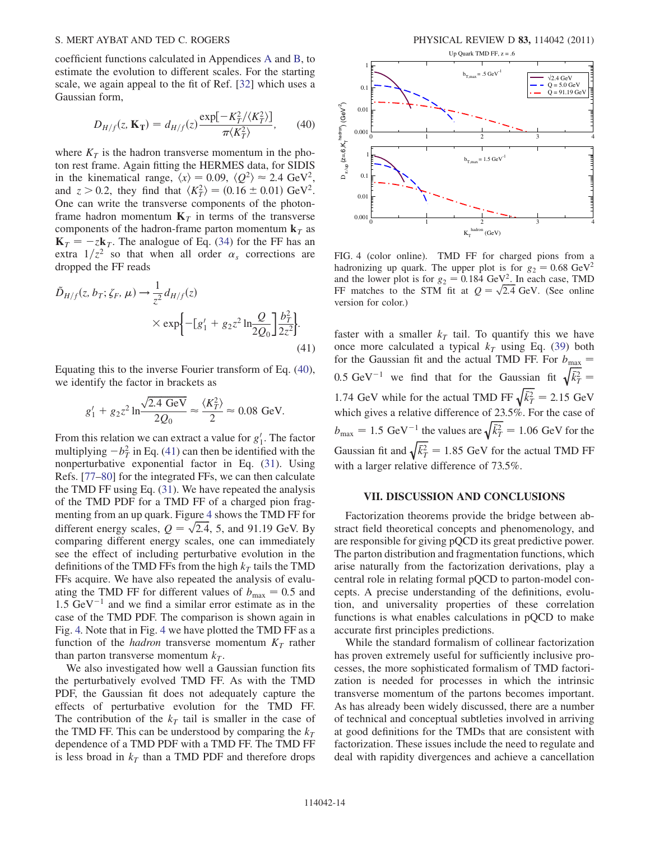coefficient functions calculated in Appendices [A](#page-16-0) and [B,](#page-18-3) to estimate the evolution to different scales. For the starting scale, we again appeal to the fit of Ref. [[32](#page-19-13)] which uses a Gaussian form,

<span id="page-14-1"></span>
$$
D_{H/f}(z, \mathbf{K_T}) = d_{H/f}(z) \frac{\exp[-K_T^2/\langle K_T^2 \rangle]}{\pi \langle K_T^2 \rangle}, \qquad (40)
$$

where  $K_T$  is the hadron transverse momentum in the photon rest frame. Again fitting the HERMES data, for SIDIS in the kinematical range,  $\langle x \rangle = 0.09$ ,  $\langle Q^2 \rangle \approx 2.4 \text{ GeV}^2$ , and  $z > 0.2$ , they find that  $\langle K_T^2 \rangle = (0.16 \pm 0.01) \text{ GeV}^2$ . One can write the transverse components of the photonframe hadron momentum  $K<sub>T</sub>$  in terms of the transverse components of the hadron-frame parton momentum  $\mathbf{k}_T$  as  $K_T = -zk_T$ . The analogue of Eq. ([34](#page-11-1)) for the FF has an extra  $1/z^2$  so that when all order  $\alpha_s$  corrections are dropped the FF reads

<span id="page-14-2"></span>
$$
\tilde{D}_{H/f}(z, b_T; \zeta_F, \mu) \to \frac{1}{z^2} d_{H/f}(z) \times \exp\left\{-[g'_1 + g_2 z^2 \ln \frac{Q}{2Q_0}\right] \frac{b_T^2}{2z^2}\right\}.
$$
\n(41)

Equating this to the inverse Fourier transform of Eq. ([40\)](#page-14-1), we identify the factor in brackets as

$$
g'_1 + g_2 z^2 \ln \frac{\sqrt{2.4 \text{ GeV}}}{2Q_0} \approx \frac{\langle K_T^2 \rangle}{2} \approx 0.08 \text{ GeV}.
$$

From this relation we can extract a value for  $g'_1$ . The factor multiplying  $-b_T^2$  in Eq. ([41](#page-14-2)) can then be identified with the nonperturbative exponential factor in Eq. [\(31\)](#page-10-1). Using Refs. [[77](#page-20-5)[–80\]](#page-20-6) for the integrated FFs, we can then calculate the TMD FF using Eq. [\(31\)](#page-10-1). We have repeated the analysis of the TMD PDF for a TMD FF of a charged pion fragmenting from an up quark. Figure [4](#page-14-3) shows the TMD FF for different energy scales,  $Q = \sqrt{2.4}$ , 5, and 91.19 GeV. By comparing different energy scales, one can immediately see the effect of including perturbative evolution in the definitions of the TMD FFs from the high  $k_T$  tails the TMD FFs acquire. We have also repeated the analysis of evaluating the TMD FF for different values of  $b_{\text{max}} = 0.5$  and  $1.5 \text{ GeV}^{-1}$  and we find a similar error estimate as in the case of the TMD PDF. The comparison is shown again in Fig. [4.](#page-14-3) Note that in Fig. [4](#page-14-3) we have plotted the TMD FF as a function of the *hadron* transverse momentum  $K_T$  rather than parton transverse momentum  $k_T$ .

We also investigated how well a Gaussian function fits the perturbatively evolved TMD FF. As with the TMD PDF, the Gaussian fit does not adequately capture the effects of perturbative evolution for the TMD FF. The contribution of the  $k<sub>T</sub>$  tail is smaller in the case of the TMD FF. This can be understood by comparing the  $k_T$ dependence of a TMD PDF with a TMD FF. The TMD FF is less broad in  $k_T$  than a TMD PDF and therefore drops

<span id="page-14-3"></span>

FIG. 4 (color online). TMD FF for charged pions from a hadronizing up quark. The upper plot is for  $g_2 = 0.68 \text{ GeV}^2$ and the lower plot is for  $g_2 = 0.184 \text{ GeV}^2$ . In each case, TMD FF matches to the STM fit at  $Q = \sqrt{2.4}$  GeV. (See online version for color.)

faster with a smaller  $k_T$  tail. To quantify this we have once more calculated a typical  $k_T$  using Eq. ([39\)](#page-13-2) both for the Gaussian fit and the actual TMD FF. For  $b_{\text{max}} =$ 0.5 GeV<sup>-1</sup> we find that for the Gaussian fit  $\sqrt{\bar{k}_{T}^2}$  $\equiv$ 1.74 GeV while for the actual TMD FF  $\sqrt{\bar{k}_T^2} = 2.15 \text{ GeV}$ which gives a relative difference of 23.5%. For the case of  $b_{\text{max}} = 1.5 \text{ GeV}^{-1}$  the values are  $\sqrt{\bar{k}_T^2} = 1.06 \text{ GeV}$  for the Gaussian fit and  $\sqrt{\bar{k}_T^2} = 1.85$  GeV for the actual TMD FF with a larger relative difference of 73.5%.

#### VII. DISCUSSION AND CONCLUSIONS

<span id="page-14-0"></span>Factorization theorems provide the bridge between abstract field theoretical concepts and phenomenology, and are responsible for giving pQCD its great predictive power. The parton distribution and fragmentation functions, which arise naturally from the factorization derivations, play a central role in relating formal pQCD to parton-model concepts. A precise understanding of the definitions, evolution, and universality properties of these correlation functions is what enables calculations in pQCD to make accurate first principles predictions.

While the standard formalism of collinear factorization has proven extremely useful for sufficiently inclusive processes, the more sophisticated formalism of TMD factorization is needed for processes in which the intrinsic transverse momentum of the partons becomes important. As has already been widely discussed, there are a number of technical and conceptual subtleties involved in arriving at good definitions for the TMDs that are consistent with factorization. These issues include the need to regulate and deal with rapidity divergences and achieve a cancellation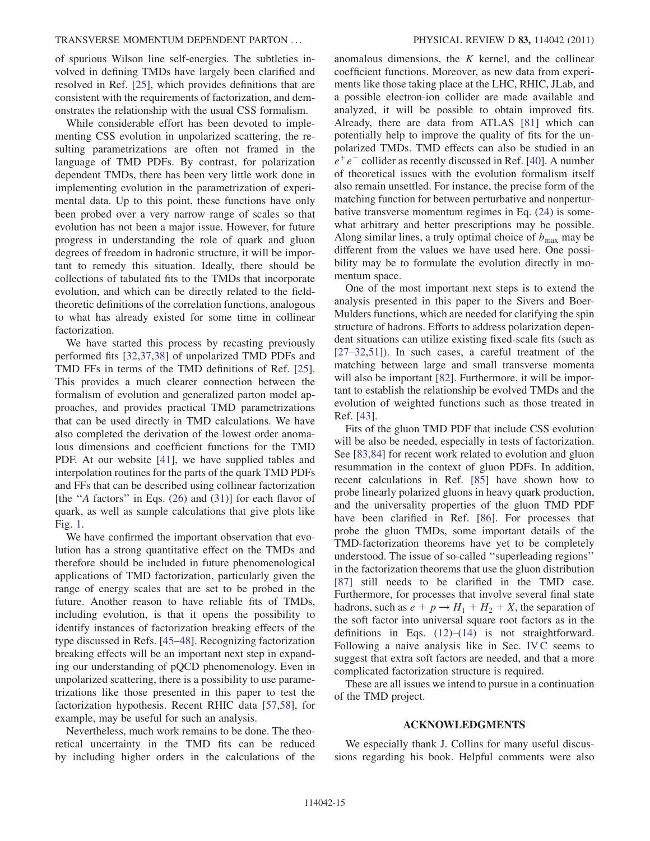of spurious Wilson line self-energies. The subtleties involved in defining TMDs have largely been clarified and resolved in Ref. [[25](#page-19-10)], which provides definitions that are consistent with the requirements of factorization, and demonstrates the relationship with the usual CSS formalism.

While considerable effort has been devoted to implementing CSS evolution in unpolarized scattering, the resulting parametrizations are often not framed in the language of TMD PDFs. By contrast, for polarization dependent TMDs, there has been very little work done in implementing evolution in the parametrization of experimental data. Up to this point, these functions have only been probed over a very narrow range of scales so that evolution has not been a major issue. However, for future progress in understanding the role of quark and gluon degrees of freedom in hadronic structure, it will be important to remedy this situation. Ideally, there should be collections of tabulated fits to the TMDs that incorporate evolution, and which can be directly related to the fieldtheoretic definitions of the correlation functions, analogous to what has already existed for some time in collinear factorization.

We have started this process by recasting previously performed fits [\[32,](#page-19-13)[37,](#page-19-18)[38\]](#page-19-19) of unpolarized TMD PDFs and TMD FFs in terms of the TMD definitions of Ref. [\[25\]](#page-19-10). This provides a much clearer connection between the formalism of evolution and generalized parton model approaches, and provides practical TMD parametrizations that can be used directly in TMD calculations. We have also completed the derivation of the lowest order anomalous dimensions and coefficient functions for the TMD PDF. At our website [[41](#page-19-22)], we have supplied tables and interpolation routines for the parts of the quark TMD PDFs and FFs that can be described using collinear factorization [the "A factors" in Eqs.  $(26)$  $(26)$  $(26)$  and  $(31)$  $(31)$  $(31)$ ] for each flavor of quark, as well as sample calculations that give plots like Fig. [1.](#page-11-2)

We have confirmed the important observation that evolution has a strong quantitative effect on the TMDs and therefore should be included in future phenomenological applications of TMD factorization, particularly given the range of energy scales that are set to be probed in the future. Another reason to have reliable fits of TMDs, including evolution, is that it opens the possibility to identify instances of factorization breaking effects of the type discussed in Refs. [[45](#page-19-27)[–48\]](#page-19-29). Recognizing factorization breaking effects will be an important next step in expanding our understanding of pQCD phenomenology. Even in unpolarized scattering, there is a possibility to use parametrizations like those presented in this paper to test the factorization hypothesis. Recent RHIC data [[57](#page-19-49),[58](#page-19-35)], for example, may be useful for such an analysis.

Nevertheless, much work remains to be done. The theoretical uncertainty in the TMD fits can be reduced by including higher orders in the calculations of the anomalous dimensions, the  $K$  kernel, and the collinear coefficient functions. Moreover, as new data from experiments like those taking place at the LHC, RHIC, JLab, and a possible electron-ion collider are made available and analyzed, it will be possible to obtain improved fits. Already, there are data from ATLAS [\[81\]](#page-20-7) which can potentially help to improve the quality of fits for the unpolarized TMDs. TMD effects can also be studied in an  $e^+e^-$  collider as recently discussed in Ref. [\[40\]](#page-19-21). A number of theoretical issues with the evolution formalism itself also remain unsettled. For instance, the precise form of the matching function for between perturbative and nonperturbative transverse momentum regimes in Eq. ([24](#page-9-2)) is somewhat arbitrary and better prescriptions may be possible. Along similar lines, a truly optimal choice of  $b_{\text{max}}$  may be different from the values we have used here. One possibility may be to formulate the evolution directly in momentum space.

One of the most important next steps is to extend the analysis presented in this paper to the Sivers and Boer-Mulders functions, which are needed for clarifying the spin structure of hadrons. Efforts to address polarization dependent situations can utilize existing fixed-scale fits (such as [\[27–](#page-19-12)[32,](#page-19-13)[51\]](#page-19-31)). In such cases, a careful treatment of the matching between large and small transverse momenta will also be important [[82](#page-20-8)]. Furthermore, it will be important to establish the relationship be evolved TMDs and the evolution of weighted functions such as those treated in Ref. [\[43\]](#page-19-25).

Fits of the gluon TMD PDF that include CSS evolution will be also be needed, especially in tests of factorization. See [\[83](#page-20-9)[,84\]](#page-20-10) for recent work related to evolution and gluon resummation in the context of gluon PDFs. In addition, recent calculations in Ref. [[85](#page-20-11)] have shown how to probe linearly polarized gluons in heavy quark production, and the universality properties of the gluon TMD PDF have been clarified in Ref. [[86](#page-20-12)]. For processes that probe the gluon TMDs, some important details of the TMD-factorization theorems have yet to be completely understood. The issue of so-called ''superleading regions'' in the factorization theorems that use the gluon distribution [\[87\]](#page-20-13) still needs to be clarified in the TMD case. Furthermore, for processes that involve several final state hadrons, such as  $e + p \rightarrow H_1 + H_2 + X$ , the separation of the soft factor into universal square root factors as in the definitions in Eqs.  $(12)$ – $(14)$  is not straightforward. Following a naive analysis like in Sec. [IV C](#page-7-4) seems to suggest that extra soft factors are needed, and that a more complicated factorization structure is required.

These are all issues we intend to pursue in a continuation of the TMD project.

#### ACKNOWLEDGMENTS

We especially thank J. Collins for many useful discussions regarding his book. Helpful comments were also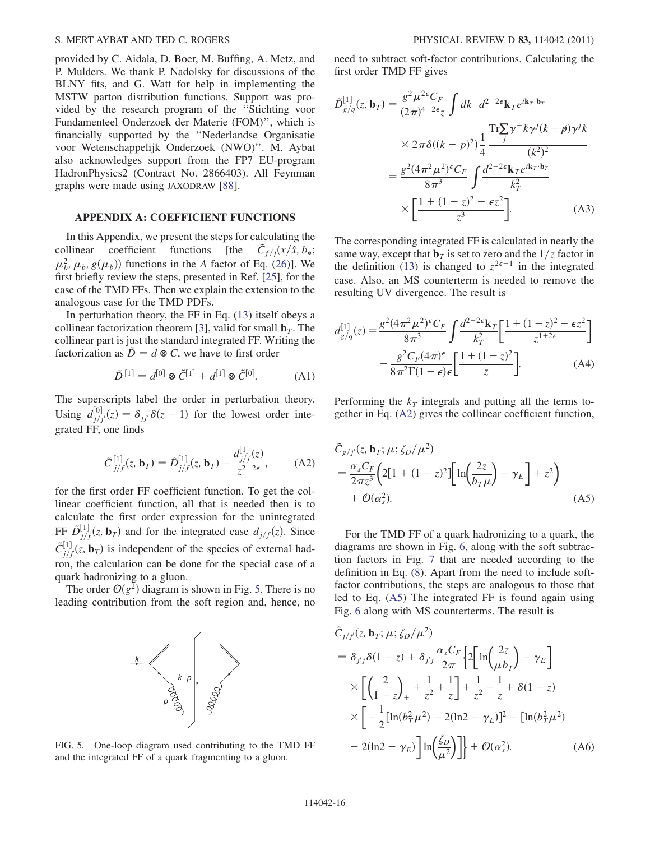provided by C. Aidala, D. Boer, M. Buffing, A. Metz, and P. Mulders. We thank P. Nadolsky for discussions of the BLNY fits, and G. Watt for help in implementing the MSTW parton distribution functions. Support was provided by the research program of the ''Stichting voor Fundamenteel Onderzoek der Materie (FOM)'', which is financially supported by the ''Nederlandse Organisatie voor Wetenschappelijk Onderzoek (NWO)''. M. Aybat also acknowledges support from the FP7 EU-program HadronPhysics2 (Contract No. 2866403). All Feynman graphs were made using JAXODRAW [[88](#page-20-14)].

#### <span id="page-16-0"></span>APPENDIX A: COEFFICIENT FUNCTIONS

In this Appendix, we present the steps for calculating the collinear coefficient functions [the  $\tilde{C}_{f/j}(x/\hat{x}, b_*)$ ;  $\mu_b^2$ ,  $\mu_b$ ,  $g(\mu_b)$  functions in the A factor of Eq. ([26](#page-9-3))]. We first briefly review the steps, presented in Ref. [\[25\]](#page-19-10), for the case of the TMD FFs. Then we explain the extension to the analogous case for the TMD PDFs.

In perturbation theory, the FF in Eq. ([13](#page-7-2)) itself obeys a collinear factorization theorem [\[3](#page-18-2)], valid for small  $\mathbf{b}_T$ . The collinear part is just the standard integrated FF. Writing the factorization as  $\ddot{D} = d \otimes C$ , we have to first order

$$
\tilde{D}^{[1]} = d^{[0]} \otimes \tilde{C}^{[1]} + d^{[1]} \otimes \tilde{C}^{[0]}.
$$
 (A1)

<span id="page-16-2"></span>The superscripts label the order in perturbation theory. Using  $d_{j/j'}^{[0]}(z) = \delta_{jj'}\delta(z-1)$  for the lowest order integrated FF, one finds

$$
\tilde{C}_{j/f}^{[1]}(z, \mathbf{b}_T) = \tilde{D}_{j/f}^{[1]}(z, \mathbf{b}_T) - \frac{d_{j/f}^{[1]}(z)}{z^{2-2\epsilon}},
$$
 (A2)

for the first order FF coefficient function. To get the collinear coefficient function, all that is needed then is to calculate the first order expression for the unintegrated FF  $\tilde{D}^{[1]}_{j/f}(z, \mathbf{b}_T)$  and for the integrated case  $d_{j/f}(z)$ . Since  $\tilde{C}_{j/f}^{[1]}(z, \mathbf{b}_T)$  is independent of the species of external hadron, the calculation can be done for the special case of a quark hadronizing to a gluon.

<span id="page-16-1"></span>The order  $O(g^2)$  diagram is shown in Fig. [5.](#page-16-1) There is no leading contribution from the soft region and, hence, no



FIG. 5. One-loop diagram used contributing to the TMD FF and the integrated FF of a quark fragmenting to a gluon.

need to subtract soft-factor contributions. Calculating the first order TMD FF gives

$$
\tilde{D}_{g/q}^{[1]}(z, \mathbf{b}_T) = \frac{g^2 \mu^{2\epsilon} C_F}{(2\pi)^{4-2\epsilon} z} \int dk^- d^{2-2\epsilon} \mathbf{k}_T e^{i\mathbf{k}_T \cdot \mathbf{b}_T}
$$
\n
$$
\times 2\pi \delta((k-p)^2) \frac{1}{4} \frac{\text{Tr} \sum_{j} \gamma^+ k \gamma^j (k-p) \gamma^j k}{(k^2)^2}
$$
\n
$$
= \frac{g^2 (4\pi^2 \mu^2)^{\epsilon} C_F}{8\pi^3} \int \frac{d^{2-2\epsilon} \mathbf{k}_T e^{i\mathbf{k}_T \cdot \mathbf{b}_T}}{k_T^2}
$$
\n
$$
\times \left[ \frac{1 + (1-z)^2 - \epsilon z^2}{z^3} \right].
$$
\n(A3)

The corresponding integrated FF is calculated in nearly the same way, except that  $\mathbf{b}_T$  is set to zero and the  $1/z$  factor in the definition [\(13\)](#page-7-2) is changed to  $z^{2\epsilon-1}$  in the integrated case. Also, an  $\overline{\text{MS}}$  counterterm is needed to remove the resulting UV divergence. The result is

$$
d_{g/q}^{[1]}(z) = \frac{g^2(4\pi^2\mu^2)^{\epsilon}C_F}{8\pi^3} \int \frac{d^{2-2\epsilon}\mathbf{k}_T}{k_T^2} \left[\frac{1+(1-z)^2-\epsilon z^2}{z^{1+2\epsilon}}\right]
$$

$$
-\frac{g^2C_F(4\pi)^{\epsilon}}{8\pi^2\Gamma(1-\epsilon)\epsilon} \left[\frac{1+(1-z)^2}{z}\right].
$$
 (A4)

<span id="page-16-3"></span>Performing the  $k_T$  integrals and putting all the terms together in Eq. ([A2\)](#page-16-2) gives the collinear coefficient function,

$$
\tilde{C}_{g/j'}(z, \mathbf{b}_T; \mu; \zeta_D/\mu^2)
$$
\n
$$
= \frac{\alpha_s C_F}{2\pi z^3} \left( 2\left[ 1 + (1-z)^2 \right] \left[ \ln \left( \frac{2z}{b_T \mu} \right) - \gamma_E \right] + z^2 \right)
$$
\n
$$
+ \mathcal{O}(\alpha_s^2). \tag{A5}
$$

For the TMD FF of a quark hadronizing to a quark, the diagrams are shown in Fig. [6](#page-17-0), along with the soft subtraction factors in Fig. [7](#page-17-1) that are needed according to the definition in Eq. ([8](#page-5-3)). Apart from the need to include softfactor contributions, the steps are analogous to those that led to Eq. ([A5\)](#page-16-3) The integrated FF is found again using Fig. [6](#page-17-0) along with  $\overline{MS}$  counterterms. The result is

$$
\tilde{C}_{j/j'}(z, \mathbf{b}_T; \mu; \zeta_D/\mu^2) \n= \delta_{j'j}\delta(1-z) + \delta_{j'j}\frac{\alpha_s C_F}{2\pi} \Big\{ 2 \Big[ \ln\Big(\frac{2z}{\mu b_T}\Big) - \gamma_E \Big] \n\times \Big[ \Big(\frac{2}{1-z}\Big)_+ + \frac{1}{z^2} + \frac{1}{z} \Big] + \frac{1}{z^2} - \frac{1}{z} + \delta(1-z) \n\times \Big[ -\frac{1}{2} [\ln(b_T^2 \mu^2) - 2(\ln 2 - \gamma_E)]^2 - [\ln(b_T^2 \mu^2) \n- 2(\ln 2 - \gamma_E) \Big] \ln\Big(\frac{\zeta_D}{\mu^2}\Big) \Big] + \mathcal{O}(\alpha_s^2).
$$
\n(A6)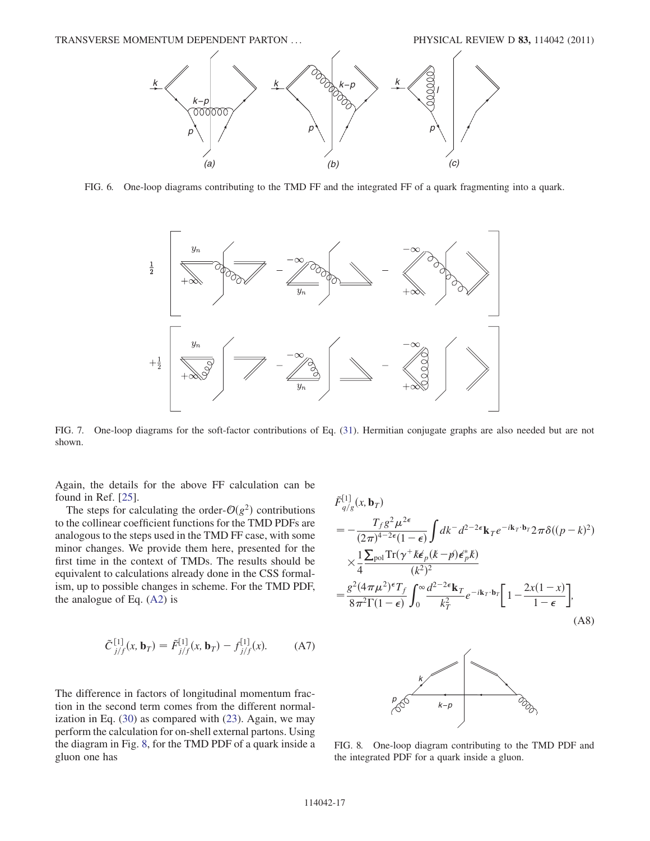<span id="page-17-0"></span>

<span id="page-17-1"></span>FIG. 6. One-loop diagrams contributing to the TMD FF and the integrated FF of a quark fragmenting into a quark.



FIG. 7. One-loop diagrams for the soft-factor contributions of Eq. [\(31\)](#page-10-1). Hermitian conjugate graphs are also needed but are not shown.

Again, the details for the above FF calculation can be found in Ref. [[25](#page-19-10)].

The steps for calculating the order- $O(g^2)$  contributions to the collinear coefficient functions for the TMD PDFs are analogous to the steps used in the TMD FF case, with some minor changes. We provide them here, presented for the first time in the context of TMDs. The results should be equivalent to calculations already done in the CSS formalism, up to possible changes in scheme. For the TMD PDF, the analogue of Eq. [\(A2](#page-16-2)) is

<span id="page-17-3"></span>
$$
\tilde{C}^{[1]}_{j/f}(x, \mathbf{b}_T) = \tilde{F}^{[1]}_{j/f}(x, \mathbf{b}_T) - f^{[1]}_{j/f}(x).
$$
 (A7)

The difference in factors of longitudinal momentum fraction in the second term comes from the different normalization in Eq. [\(30\)](#page-10-3) as compared with [\(23\)](#page-9-1). Again, we may perform the calculation for on-shell external partons. Using the diagram in Fig. [8,](#page-17-2) for the TMD PDF of a quark inside a gluon one has

$$
\tilde{F}_{q/g}^{[1]}(x, \mathbf{b}_T)
$$
\n
$$
= -\frac{T_f g^2 \mu^{2\epsilon}}{(2\pi)^{4-2\epsilon}(1-\epsilon)} \int dk^- d^{2-2\epsilon} \mathbf{k}_T e^{-i\mathbf{k}_T \cdot \mathbf{b}_T} 2\pi \delta((p-k)^2)
$$
\n
$$
\times \frac{1}{4} \frac{\sum_{\text{pol}} \text{Tr}(\gamma^+ k \epsilon_p (k-p) \epsilon_p^* k)}{(k^2)^2}
$$
\n
$$
= \frac{g^2 (4\pi \mu^2)^{\epsilon} T_f}{8\pi^2 \Gamma(1-\epsilon)} \int_0^\infty \frac{d^{2-2\epsilon} \mathbf{k}_T}{k_T^2} e^{-i\mathbf{k}_T \cdot \mathbf{b}_T} \left[1 - \frac{2x(1-x)}{1-\epsilon}\right],
$$
\n(A8)

<span id="page-17-2"></span>

FIG. 8. One-loop diagram contributing to the TMD PDF and the integrated PDF for a quark inside a gluon.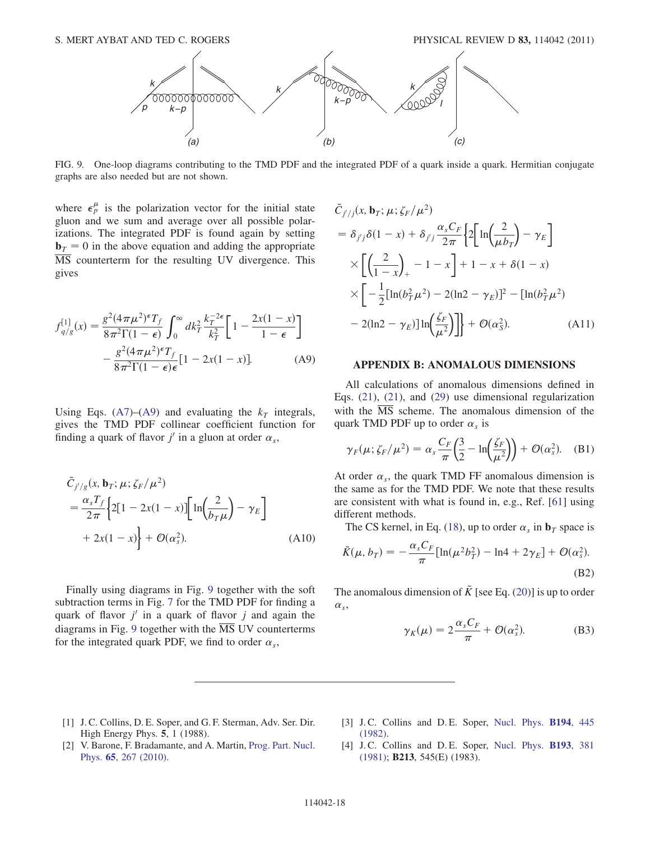<span id="page-18-5"></span>

FIG. 9. One-loop diagrams contributing to the TMD PDF and the integrated PDF of a quark inside a quark. Hermitian conjugate graphs are also needed but are not shown.

where  $\epsilon_p^{\mu}$  is the polarization vector for the initial state gluon and we sum and average over all possible polarizations. The integrated PDF is found again by setting  $\mathbf{b}_T = 0$  in the above equation and adding the appropriate MS counterterm for the resulting UV divergence. This gives

<span id="page-18-4"></span>
$$
f_{q/g}^{[1]}(x) = \frac{g^2 (4\pi \mu^2)^{\epsilon} T_f}{8\pi^2 \Gamma(1 - \epsilon)} \int_0^{\infty} dk_T^2 \frac{k_T^{-2\epsilon}}{k_T^2} \left[ 1 - \frac{2x(1 - x)}{1 - \epsilon} \right]
$$

$$
- \frac{g^2 (4\pi \mu^2)^{\epsilon} T_f}{8\pi^2 \Gamma(1 - \epsilon)\epsilon} [1 - 2x(1 - x)]. \tag{A9}
$$

Using Eqs. [\(A7\)](#page-17-3)–[\(A9\)](#page-18-4) and evaluating the  $k<sub>T</sub>$  integrals, gives the TMD PDF collinear coefficient function for finding a quark of flavor  $j'$  in a gluon at order  $\alpha_s$ ,

$$
\tilde{C}_{j'/g}(x, \mathbf{b}_T; \mu; \zeta_F/\mu^2)
$$
\n
$$
= \frac{\alpha_s T_f}{2\pi} \Biggl\{ 2[1 - 2x(1 - x)] \Biggl[ \ln \Biggl( \frac{2}{b_T \mu} \Biggr) - \gamma_E \Biggr] + 2x(1 - x) \Biggr\} + \mathcal{O}(\alpha_s^2). \tag{A10}
$$

Finally using diagrams in Fig. [9](#page-18-5) together with the soft subtraction terms in Fig. [7](#page-17-1) for the TMD PDF for finding a quark of flavor  $j'$  in a quark of flavor j and again the diagrams in Fig. [9](#page-18-5) together with the  $\overline{\text{MS}}$  UV counterterms for the integrated quark PDF, we find to order  $\alpha_s$ ,

$$
\tilde{C}_{j'/j}(x, \mathbf{b}_T; \mu; \zeta_F/\mu^2)
$$
\n
$$
= \delta_{j'j}\delta(1-x) + \delta_{j'j}\frac{\alpha_s C_F}{2\pi} \Big\{ 2 \Big[ \ln\Big(\frac{2}{\mu b_T}\Big) - \gamma_E \Big]
$$
\n
$$
\times \Big[ \Big(\frac{2}{1-x}\Big)_+ - 1 - x \Big] + 1 - x + \delta(1-x)
$$
\n
$$
\times \Big[ -\frac{1}{2} [\ln(b_T^2 \mu^2) - 2(\ln 2 - \gamma_E)]^2 - [\ln(b_T^2 \mu^2) - 2(\ln 2 - \gamma_E)] \ln\Big(\frac{\zeta_F}{\mu^2}\Big) \Big] + \mathcal{O}(\alpha_S^2). \tag{A11}
$$

#### <span id="page-18-3"></span>APPENDIX B: ANOMALOUS DIMENSIONS

All calculations of anomalous dimensions defined in Eqs. [\(21\)](#page-8-4), ([21\)](#page-8-4), and [\(29\)](#page-10-4) use dimensional regularization with the  $\overline{MS}$  scheme. The anomalous dimension of the quark TMD PDF up to order  $\alpha_s$  is

$$
\gamma_F(\mu; \zeta_F/\mu^2) = \alpha_s \frac{C_F}{\pi} \left(\frac{3}{2} - \ln\left(\frac{\zeta_F}{\mu^2}\right)\right) + \mathcal{O}(\alpha_s^2). \quad (B1)
$$

At order  $\alpha_s$ , the quark TMD FF anomalous dimension is the same as for the TMD PDF. We note that these results are consistent with what is found in, e.g., Ref. [\[61\]](#page-19-39) using different methods.

The CS kernel, in Eq. ([18](#page-8-2)), up to order  $\alpha_s$  in  $\mathbf{b}_T$  space is

$$
\tilde{K}(\mu, b_T) = -\frac{\alpha_s C_F}{\pi} [\ln(\mu^2 b_T^2) - \ln 4 + 2\gamma_E] + \mathcal{O}(\alpha_s^2).
$$
\n(B2)

The anomalous dimension of  $\tilde{K}$  [see Eq. [\(20\)](#page-8-5)] is up to order  $\alpha_{s}$ 

$$
\gamma_K(\mu) = 2\frac{\alpha_s C_F}{\pi} + \mathcal{O}(\alpha_s^2). \tag{B3}
$$

- <span id="page-18-0"></span>[1] J. C. Collins, D. E. Soper, and G. F. Sterman, Adv. Ser. Dir. High Energy Phys. 5, 1 (1988).
- <span id="page-18-1"></span>[2] V. Barone, F. Bradamante, and A. Martin, [Prog. Part. Nucl.](http://dx.doi.org/10.1016/j.ppnp.2010.07.003) Phys. 65[, 267 \(2010\).](http://dx.doi.org/10.1016/j.ppnp.2010.07.003)
- <span id="page-18-2"></span>[3] J.C. Collins and D.E. Soper, [Nucl. Phys.](http://dx.doi.org/10.1016/0550-3213(82)90021-9) **B194**, 445 [\(1982\)](http://dx.doi.org/10.1016/0550-3213(82)90021-9).
- [4] J.C. Collins and D.E. Soper, [Nucl. Phys.](http://dx.doi.org/10.1016/0550-3213(81)90339-4) **B193**, 381 [\(1981\)](http://dx.doi.org/10.1016/0550-3213(81)90339-4); B213, 545(E) (1983).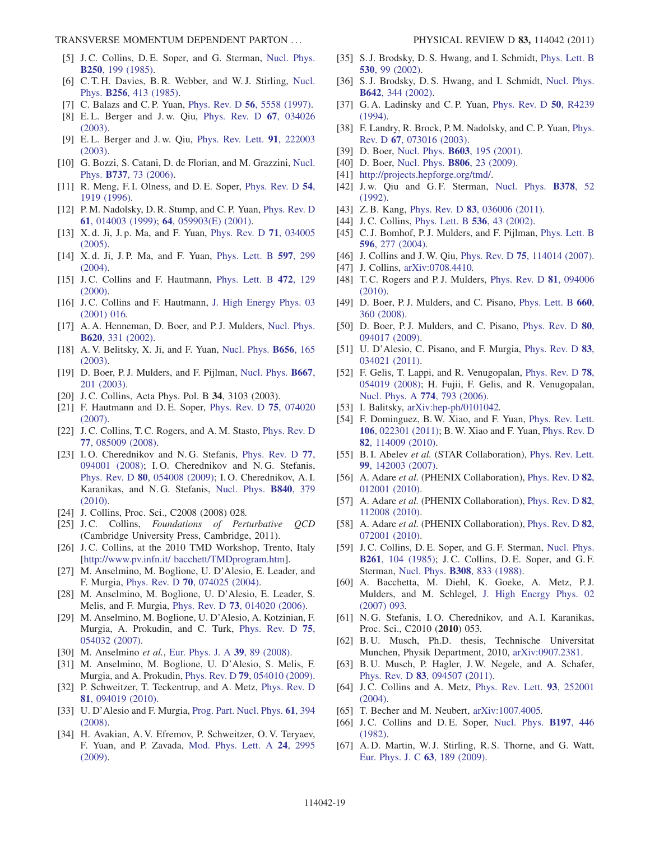- <span id="page-19-0"></span>[5] J.C. Collins, D.E. Soper, and G. Sterman, [Nucl. Phys.](http://dx.doi.org/10.1016/0550-3213(85)90479-1) B250[, 199 \(1985\)](http://dx.doi.org/10.1016/0550-3213(85)90479-1).
- <span id="page-19-1"></span>[6] C. T. H. Davies, B. R. Webber, and W. J. Stirling, [Nucl.](http://dx.doi.org/10.1016/0550-3213(85)90402-X) Phys. B256[, 413 \(1985\).](http://dx.doi.org/10.1016/0550-3213(85)90402-X)
- <span id="page-19-2"></span>[7] C. Balazs and C. P. Yuan, Phys. Rev. D 56[, 5558 \(1997\).](http://dx.doi.org/10.1103/PhysRevD.56.5558)
- <span id="page-19-3"></span>[8] E. L. Berger and J. w. Qiu, [Phys. Rev. D](http://dx.doi.org/10.1103/PhysRevD.67.034026) 67, 034026 [\(2003\)](http://dx.doi.org/10.1103/PhysRevD.67.034026).
- [9] E. L. Berger and J. w. Qiu, [Phys. Rev. Lett.](http://dx.doi.org/10.1103/PhysRevLett.91.222003) 91, 222003 [\(2003\)](http://dx.doi.org/10.1103/PhysRevLett.91.222003).
- <span id="page-19-4"></span>[10] G. Bozzi, S. Catani, D. de Florian, and M. Grazzini, [Nucl.](http://dx.doi.org/10.1016/j.nuclphysb.2005.12.022) Phys. B737[, 73 \(2006\)](http://dx.doi.org/10.1016/j.nuclphysb.2005.12.022).
- <span id="page-19-5"></span>[11] R. Meng, F. I. Olness, and D. E. Soper, [Phys. Rev. D](http://dx.doi.org/10.1103/PhysRevD.54.1919) 54, [1919 \(1996\)](http://dx.doi.org/10.1103/PhysRevD.54.1919).
- [12] P. M. Nadolsky, D. R. Stump, and C. P. Yuan, [Phys. Rev. D](http://dx.doi.org/10.1103/PhysRevD.61.014003) 61[, 014003 \(1999\)](http://dx.doi.org/10.1103/PhysRevD.61.014003); 64[, 059903\(E\) \(2001\).](http://dx.doi.org/10.1103/PhysRevD.64.059903)
- <span id="page-19-6"></span>[13] X. d. Ji, J. p. Ma, and F. Yuan, [Phys. Rev. D](http://dx.doi.org/10.1103/PhysRevD.71.034005) 71, 034005 [\(2005\)](http://dx.doi.org/10.1103/PhysRevD.71.034005).
- <span id="page-19-7"></span>[14] X.d. Ji, J.P. Ma, and F. Yuan, [Phys. Lett. B](http://dx.doi.org/10.1016/j.physletb.2004.07.026) 597, 299 [\(2004\)](http://dx.doi.org/10.1016/j.physletb.2004.07.026).
- <span id="page-19-8"></span>[15] J.C. Collins and F. Hautmann, [Phys. Lett. B](http://dx.doi.org/10.1016/S0370-2693(99)01384-2) 472, 129 [\(2000\)](http://dx.doi.org/10.1016/S0370-2693(99)01384-2).
- <span id="page-19-40"></span>[16] J.C. Collins and F. Hautmann, [J. High Energy Phys. 03](http://dx.doi.org/10.1088/1126-6708/2001/03/016) [\(2001\) 016.](http://dx.doi.org/10.1088/1126-6708/2001/03/016)
- [17] A. A. Henneman, D. Boer, and P. J. Mulders, [Nucl. Phys.](http://dx.doi.org/10.1016/S0550-3213(01)00557-0) B620[, 331 \(2002\)](http://dx.doi.org/10.1016/S0550-3213(01)00557-0).
- <span id="page-19-45"></span>[18] A. V. Belitsky, X. Ji, and F. Yuan, [Nucl. Phys.](http://dx.doi.org/10.1016/S0550-3213(03)00121-4) **B656**, 165 [\(2003\)](http://dx.doi.org/10.1016/S0550-3213(03)00121-4).
- <span id="page-19-24"></span>[19] D. Boer, P.J. Mulders, and F. Pijlman, [Nucl. Phys.](http://dx.doi.org/10.1016/S0550-3213(03)00527-3) **B667**, [201 \(2003\)](http://dx.doi.org/10.1016/S0550-3213(03)00527-3).
- <span id="page-19-37"></span>[20] J. C. Collins, Acta Phys. Pol. B 34, 3103 (2003).
- [21] F. Hautmann and D.E. Soper, [Phys. Rev. D](http://dx.doi.org/10.1103/PhysRevD.75.074020) 75, 074020 [\(2007\)](http://dx.doi.org/10.1103/PhysRevD.75.074020).
- [22] J. C. Collins, T. C. Rogers, and A. M. Stasto, [Phys. Rev. D](http://dx.doi.org/10.1103/PhysRevD.77.085009) 77[, 085009 \(2008\)](http://dx.doi.org/10.1103/PhysRevD.77.085009).
- <span id="page-19-41"></span>[23] I.O. Cherednikov and N.G. Stefanis, [Phys. Rev. D](http://dx.doi.org/10.1103/PhysRevD.77.094001) 77, [094001 \(2008\)](http://dx.doi.org/10.1103/PhysRevD.77.094001); I. O. Cherednikov and N. G. Stefanis, Phys. Rev. D 80[, 054008 \(2009\);](http://dx.doi.org/10.1103/PhysRevD.80.054008) I. O. Cherednikov, A. I. Karanikas, and N. G. Stefanis, [Nucl. Phys.](http://dx.doi.org/10.1016/j.nuclphysb.2010.07.013) B840, 379 [\(2010\)](http://dx.doi.org/10.1016/j.nuclphysb.2010.07.013).
- <span id="page-19-9"></span>[24] J. Collins, Proc. Sci., C2008 (2008) 028.
- <span id="page-19-10"></span>[25] J.C. Collins, Foundations of Perturbative OCD (Cambridge University Press, Cambridge, 2011).
- <span id="page-19-11"></span>[26] J.C. Collins, at the 2010 TMD Workshop, Trento, Italy [\[http://www.pv.infn.it/ bacchett/TMDprogram.htm](http://www.pv.infn.it/ bacchett/TMDprogram.htm)].
- <span id="page-19-12"></span>[27] M. Anselmino, M. Boglione, U. D'Alesio, E. Leader, and F. Murgia, Phys. Rev. D 70[, 074025 \(2004\).](http://dx.doi.org/10.1103/PhysRevD.70.074025)
- [28] M. Anselmino, M. Boglione, U. D'Alesio, E. Leader, S. Melis, and F. Murgia, Phys. Rev. D 73[, 014020 \(2006\).](http://dx.doi.org/10.1103/PhysRevD.73.014020)
- [29] M. Anselmino, M. Boglione, U. D'Alesio, A. Kotzinian, F. Murgia, A. Prokudin, and C. Turk, [Phys. Rev. D](http://dx.doi.org/10.1103/PhysRevD.75.054032) 75, [054032 \(2007\)](http://dx.doi.org/10.1103/PhysRevD.75.054032).
- [30] M. Anselmino et al., [Eur. Phys. J. A](http://dx.doi.org/10.1140/epja/i2008-10697-y) 39, 89 (2008).
- [31] M. Anselmino, M. Boglione, U. D'Alesio, S. Melis, F. Murgia, and A. Prokudin, Phys. Rev. D 79[, 054010 \(2009\).](http://dx.doi.org/10.1103/PhysRevD.79.054010)
- <span id="page-19-13"></span>[32] P. Schweitzer, T. Teckentrup, and A. Metz, [Phys. Rev. D](http://dx.doi.org/10.1103/PhysRevD.81.094019) 81[, 094019 \(2010\)](http://dx.doi.org/10.1103/PhysRevD.81.094019).
- <span id="page-19-14"></span>[33] U. D'Alesio and F. Murgia, [Prog. Part. Nucl. Phys.](http://dx.doi.org/10.1016/j.ppnp.2008.01.001) 61, 394 [\(2008\)](http://dx.doi.org/10.1016/j.ppnp.2008.01.001).
- <span id="page-19-15"></span>[34] H. Avakian, A. V. Efremov, P. Schweitzer, O. V. Teryaev, F. Yuan, and P. Zavada, [Mod. Phys. Lett. A](http://dx.doi.org/10.1142/S0217732309001200) 24, 2995 [\(2009\)](http://dx.doi.org/10.1142/S0217732309001200).
- <span id="page-19-16"></span>[35] S.J. Brodsky, D.S. Hwang, and I. Schmidt, [Phys. Lett. B](http://dx.doi.org/10.1016/S0370-2693(02)01320-5) 530[, 99 \(2002\)](http://dx.doi.org/10.1016/S0370-2693(02)01320-5).
- <span id="page-19-17"></span>[36] S. J. Brodsky, D. S. Hwang, and I. Schmidt, [Nucl. Phys.](http://dx.doi.org/10.1016/S0550-3213(02)00617-X) B642[, 344 \(2002\)](http://dx.doi.org/10.1016/S0550-3213(02)00617-X).
- <span id="page-19-18"></span>[37] G. A. Ladinsky and C. P. Yuan, [Phys. Rev. D](http://dx.doi.org/10.1103/PhysRevD.50.R4239) 50, R4239 [\(1994\)](http://dx.doi.org/10.1103/PhysRevD.50.R4239).
- <span id="page-19-19"></span>[38] F. Landry, R. Brock, P. M. Nadolsky, and C. P. Yuan, [Phys.](http://dx.doi.org/10.1103/PhysRevD.67.073016) Rev. D 67[, 073016 \(2003\)](http://dx.doi.org/10.1103/PhysRevD.67.073016).
- <span id="page-19-20"></span>[39] D. Boer, Nucl. Phys. **B603**[, 195 \(2001\).](http://dx.doi.org/10.1016/S0550-3213(01)00156-0)
- <span id="page-19-21"></span>[40] D. Boer, [Nucl. Phys.](http://dx.doi.org/10.1016/j.nuclphysb.2008.06.011) **B806**, 23 (2009).
- <span id="page-19-22"></span>[41] [http://projects.hepforge.org/tmd/.](http://projects.hepforge.org/tmd/)
- <span id="page-19-23"></span>[42] J.w. Qiu and G.F. Sterman, [Nucl. Phys.](http://dx.doi.org/10.1016/0550-3213(92)90003-T) **B378**, 52 [\(1992\)](http://dx.doi.org/10.1016/0550-3213(92)90003-T).
- <span id="page-19-25"></span>[43] Z.B. Kang, Phys. Rev. D **83**[, 036006 \(2011\)](http://dx.doi.org/10.1103/PhysRevD.83.036006).
- <span id="page-19-26"></span>[44] J.C. Collins, [Phys. Lett. B](http://dx.doi.org/10.1016/S0370-2693(02)01819-1) **536**, 43 (2002).
- <span id="page-19-27"></span>[45] C.J. Bomhof, P.J. Mulders, and F. Pijlman, [Phys. Lett. B](http://dx.doi.org/10.1016/j.physletb.2004.06.100) 596[, 277 \(2004\).](http://dx.doi.org/10.1016/j.physletb.2004.06.100)
- [46] J. Collins and J. W. Qiu, Phys. Rev. D 75[, 114014 \(2007\).](http://dx.doi.org/10.1103/PhysRevD.75.114014)
- <span id="page-19-28"></span>[47] J. Collins, [arXiv:0708.4410.](http://arXiv.org/abs/0708.4410)
- <span id="page-19-29"></span>[48] T.C. Rogers and P.J. Mulders, *[Phys. Rev. D](http://dx.doi.org/10.1103/PhysRevD.81.094006)* **81**, 094006 [\(2010\)](http://dx.doi.org/10.1103/PhysRevD.81.094006).
- <span id="page-19-30"></span>[49] D. Boer, P.J. Mulders, and C. Pisano, [Phys. Lett. B](http://dx.doi.org/10.1016/j.physletb.2008.01.021) 660, [360 \(2008\)](http://dx.doi.org/10.1016/j.physletb.2008.01.021).
- [50] D. Boer, P.J. Mulders, and C. Pisano, [Phys. Rev. D](http://dx.doi.org/10.1103/PhysRevD.80.094017) 80, [094017 \(2009\).](http://dx.doi.org/10.1103/PhysRevD.80.094017)
- <span id="page-19-31"></span>[51] U. D'Alesio, C. Pisano, and F. Murgia, [Phys. Rev. D](http://dx.doi.org/10.1103/PhysRevD.83.034021) 83, [034021 \(2011\).](http://dx.doi.org/10.1103/PhysRevD.83.034021)
- <span id="page-19-32"></span>[52] F. Gelis, T. Lappi, and R. Venugopalan, [Phys. Rev. D](http://dx.doi.org/10.1103/PhysRevD.78.054019) 78, [054019 \(2008\)](http://dx.doi.org/10.1103/PhysRevD.78.054019); H. Fujii, F. Gelis, and R. Venugopalan, [Nucl. Phys. A](http://dx.doi.org/10.1016/j.nuclphysa.2006.06.137) 774, 793 (2006).
- [53] I. Balitsky, [arXiv:hep-ph/0101042.](http://arXiv.org/abs/hep-ph/0101042)
- <span id="page-19-33"></span>[54] F. Dominguez, B. W. Xiao, and F. Yuan, [Phys. Rev. Lett.](http://dx.doi.org/10.1103/PhysRevLett.106.022301) 106[, 022301 \(2011\);](http://dx.doi.org/10.1103/PhysRevLett.106.022301) B. W. Xiao and F. Yuan, [Phys. Rev. D](http://dx.doi.org/10.1103/PhysRevD.82.114009) 82[, 114009 \(2010\)](http://dx.doi.org/10.1103/PhysRevD.82.114009).
- <span id="page-19-34"></span>[55] B. I. Abelev et al. (STAR Collaboration), [Phys. Rev. Lett.](http://dx.doi.org/10.1103/PhysRevLett.99.142003) 99[, 142003 \(2007\)](http://dx.doi.org/10.1103/PhysRevLett.99.142003).
- [56] A. Adare et al. (PHENIX Collaboration), [Phys. Rev. D](http://dx.doi.org/10.1103/PhysRevD.82.012001) 82, [012001 \(2010\).](http://dx.doi.org/10.1103/PhysRevD.82.012001)
- <span id="page-19-49"></span>[57] A. Adare et al. (PHENIX Collaboration), [Phys. Rev. D](http://dx.doi.org/10.1103/PhysRevD.82.112008) 82, [112008 \(2010\).](http://dx.doi.org/10.1103/PhysRevD.82.112008)
- <span id="page-19-35"></span>[58] A. Adare et al. (PHENIX Collaboration), [Phys. Rev. D](http://dx.doi.org/10.1103/PhysRevD.82.072001) 82, [072001 \(2010\).](http://dx.doi.org/10.1103/PhysRevD.82.072001)
- <span id="page-19-36"></span>[59] J.C. Collins, D.E. Soper, and G.F. Sterman, [Nucl. Phys.](http://dx.doi.org/10.1016/0550-3213(85)90565-6) B261[, 104 \(1985\)](http://dx.doi.org/10.1016/0550-3213(85)90565-6); J. C. Collins, D. E. Soper, and G. F. Sterman, Nucl. Phys. B308[, 833 \(1988\).](http://dx.doi.org/10.1016/0550-3213(88)90130-7)
- <span id="page-19-38"></span>[60] A. Bacchetta, M. Diehl, K. Goeke, A. Metz, P.J. Mulders, and M. Schlegel, [J. High Energy Phys. 02](http://dx.doi.org/10.1088/1126-6708/2007/02/093) [\(2007\) 093.](http://dx.doi.org/10.1088/1126-6708/2007/02/093)
- <span id="page-19-39"></span>[61] N.G. Stefanis, I.O. Cherednikov, and A.I. Karanikas, Proc. Sci., C2010 (2010) 053.
- <span id="page-19-42"></span>[62] B. U. Musch, Ph.D. thesis, Technische Universitat Munchen, Physik Department, 2010, [arXiv:0907.2381](http://arXiv.org/abs/0907.2381).
- <span id="page-19-43"></span>[63] B. U. Musch, P. Hagler, J. W. Negele, and A. Schafer, Phys. Rev. D 83[, 094507 \(2011\).](http://dx.doi.org/10.1103/PhysRevD.83.094507)
- <span id="page-19-44"></span>[64] J.C. Collins and A. Metz, [Phys. Rev. Lett.](http://dx.doi.org/10.1103/PhysRevLett.93.252001) 93, 252001 [\(2004\)](http://dx.doi.org/10.1103/PhysRevLett.93.252001).
- <span id="page-19-47"></span><span id="page-19-46"></span>[65] T. Becher and M. Neubert, [arXiv:1007.4005.](http://arXiv.org/abs/1007.4005)
- [66] J.C. Collins and D.E. Soper, [Nucl. Phys.](http://dx.doi.org/10.1016/0550-3213(82)90453-9) **B197**, 446 [\(1982\)](http://dx.doi.org/10.1016/0550-3213(82)90453-9).
- <span id="page-19-48"></span>[67] A. D. Martin, W. J. Stirling, R. S. Thorne, and G. Watt, [Eur. Phys. J. C](http://dx.doi.org/10.1140/epjc/s10052-009-1072-5) 63, 189 (2009).